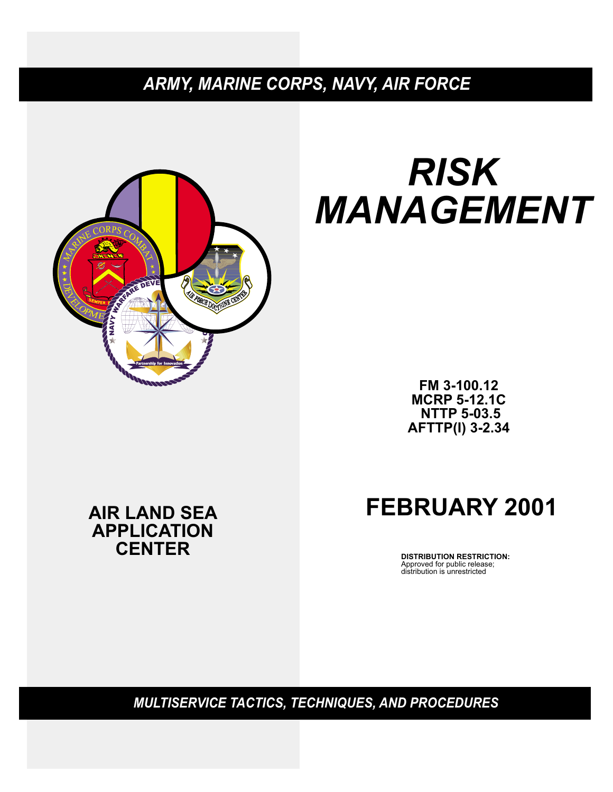# *ARMY, MARINE CORPS, NAVY, AIR FORCE*



# *RISK MANAGEMENT*

**FM 3-100.12 MCRP 5-12.1C NTTP 5-03.5 AFTTP(I) 3-2.34**

# **AIR LAND SEA APPLICATION CENTER**

# **FEBRUARY 2001**

**DISTRIBUTION RESTRICTION:** Approved for public release; distribution is unrestricted

*MULTISERVICE TACTICS, TECHNIQUES, AND PROCEDURES*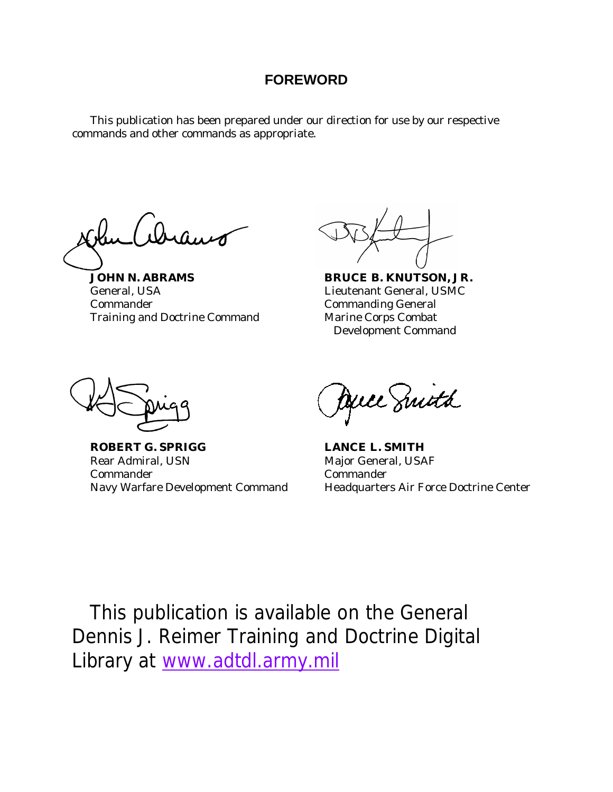# **FOREWORD**

This publication has been prepared under our direction for use by our respective commands and other commands as appropriate.

**JOHN N. ABRAMS BRUCE B. KNUTSON, JR.** General, USA Lieutenant General, USMC Commander Commanding General Training and Doctrine Command Marine Corps Combat

Development Command

**ROBERT G. SPRIGG LANCE L. SMITH** Rear Admiral, USN Major General, USAF Commander Commander

Duce Suith

Navy Warfare Development Command Headquarters Air Force Doctrine Center

This publication is available on the General Dennis J. Reimer Training and Doctrine Digital Library at www.adtdl.army.mil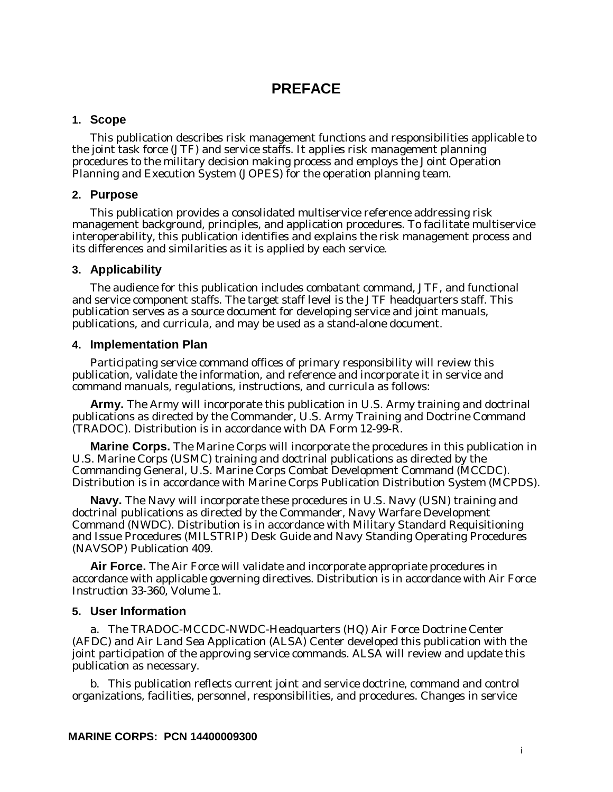# **PREFACE**

#### **1. Scope**

This publication describes risk management functions and responsibilities applicable to the joint task force (JTF) and service staffs. It applies risk management planning procedures to the military decision making process and employs the Joint Operation Planning and Execution System (JOPES) for the operation planning team.

#### **2. Purpose**

This publication provides a consolidated multiservice reference addressing risk management background, principles, and application procedures. To facilitate multiservice interoperability, this publication identifies and explains the risk management process and its differences and similarities as it is applied by each service.

#### **3. Applicability**

The audience for this publication includes combatant command, JTF, and functional and service component staffs. The target staff level is the JTF headquarters staff. This publication serves as a source document for developing service and joint manuals, publications, and curricula, and may be used as a stand-alone document.

#### **4. Implementation Plan**

Participating service command offices of primary responsibility will review this publication, validate the information, and reference and incorporate it in service and command manuals, regulations, instructions, and curricula as follows:

**Army.** The Army will incorporate this publication in U.S. Army training and doctrinal publications as directed by the Commander, U.S. Army Training and Doctrine Command (TRADOC). Distribution is in accordance with DA Form 12-99-R.

**Marine Corps.** The Marine Corps will incorporate the procedures in this publication in U.S. Marine Corps (USMC) training and doctrinal publications as directed by the Commanding General, U.S. Marine Corps Combat Development Command (MCCDC). Distribution is in accordance with Marine Corps Publication Distribution System (MCPDS).

**Navy.** The Navy will incorporate these procedures in U.S. Navy (USN) training and doctrinal publications as directed by the Commander, Navy Warfare Development Command (NWDC). Distribution is in accordance with Military Standard Requisitioning and Issue Procedures (MILSTRIP) Desk Guide and Navy Standing Operating Procedures (NAVSOP) Publication 409.

**Air Force.** The Air Force will validate and incorporate appropriate procedures in accordance with applicable governing directives. Distribution is in accordance with Air Force Instruction 33-360, Volume 1.

#### **5. User Information**

a. The TRADOC-MCCDC-NWDC-Headquarters (HQ) Air Force Doctrine Center (AFDC) and Air Land Sea Application (ALSA) Center developed this publication with the joint participation of the approving service commands. ALSA will review and update this publication as necessary.

b. This publication reflects current joint and service doctrine, command and control organizations, facilities, personnel, responsibilities, and procedures. Changes in service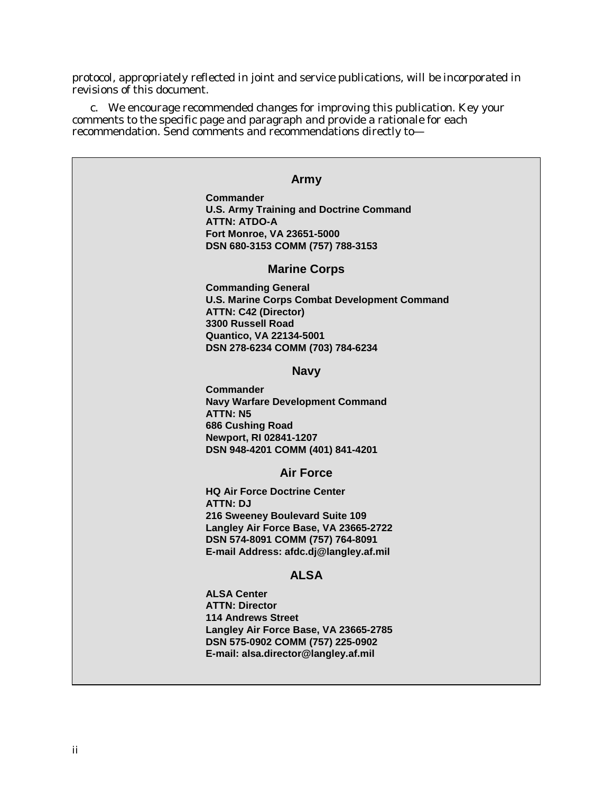protocol, appropriately reflected in joint and service publications, will be incorporated in revisions of this document.

c. We encourage recommended changes for improving this publication. Key your comments to the specific page and paragraph and provide a rationale for each recommendation. Send comments and recommendations directly to—

#### **Army**

**Commander U.S. Army Training and Doctrine Command ATTN: ATDO-A Fort Monroe, VA 23651-5000 DSN 680-3153 COMM (757) 788-3153**

#### **Marine Corps**

**Commanding General U.S. Marine Corps Combat Development Command ATTN: C42 (Director) 3300 Russell Road Quantico, VA 22134-5001 DSN 278-6234 COMM (703) 784-6234**

#### **Navy**

**Commander Navy Warfare Development Command ATTN: N5 686 Cushing Road Newport, RI 02841-1207 DSN 948-4201 COMM (401) 841-4201**

#### **Air Force**

**HQ Air Force Doctrine Center ATTN: DJ 216 Sweeney Boulevard Suite 109 Langley Air Force Base, VA 23665-2722 DSN 574-8091 COMM (757) 764-8091 E-mail Address: afdc.dj@langley.af.mil**

#### **ALSA**

**ALSA Center ATTN: Director 114 Andrews Street Langley Air Force Base, VA 23665-2785 DSN 575-0902 COMM (757) 225-0902 E-mail: alsa.director@langley.af.mil**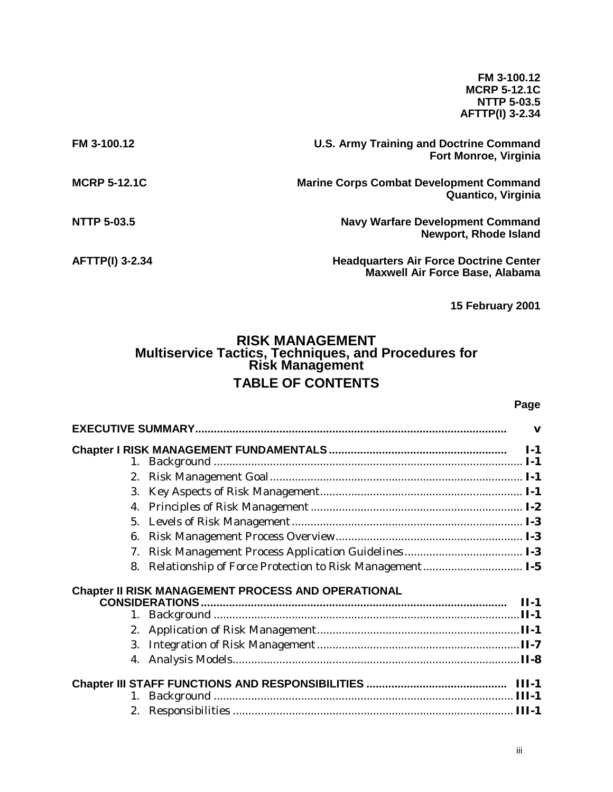**FM 3-100.12 MCRP 5-12.1C NTTP 5-03.5 AFTTP(I) 3-2.34**

| FM 3-100.12            | <b>U.S. Army Training and Doctrine Command</b><br><b>Fort Monroe, Virginia</b>          |
|------------------------|-----------------------------------------------------------------------------------------|
| <b>MCRP 5-12.1C</b>    | <b>Marine Corps Combat Development Command</b><br>Quantico, Virginia                    |
| <b>NTTP 5-03.5</b>     | <b>Navy Warfare Development Command</b><br><b>Newport, Rhode Island</b>                 |
| <b>AFTTP(I) 3-2.34</b> | <b>Headquarters Air Force Doctrine Center</b><br><b>Maxwell Air Force Base, Alabama</b> |

**15 February 2001**

# **RISK MANAGEMENT Multiservice Tactics, Techniques, and Procedures for Risk Management TABLE OF CONTENTS**

#### **Page**

| 1. |                                                         |  |
|----|---------------------------------------------------------|--|
| 2. |                                                         |  |
| 3. |                                                         |  |
| 4. |                                                         |  |
| 5. |                                                         |  |
| 6. |                                                         |  |
| 7. |                                                         |  |
| 8. | Relationship of Force Protection to Risk Management I-5 |  |
|    | Chapter II RISK MANAGEMENT PROCESS AND OPERATIONAL      |  |
|    |                                                         |  |
| 1. |                                                         |  |
|    |                                                         |  |
| 3. |                                                         |  |
|    |                                                         |  |
|    |                                                         |  |
| 1. |                                                         |  |
|    |                                                         |  |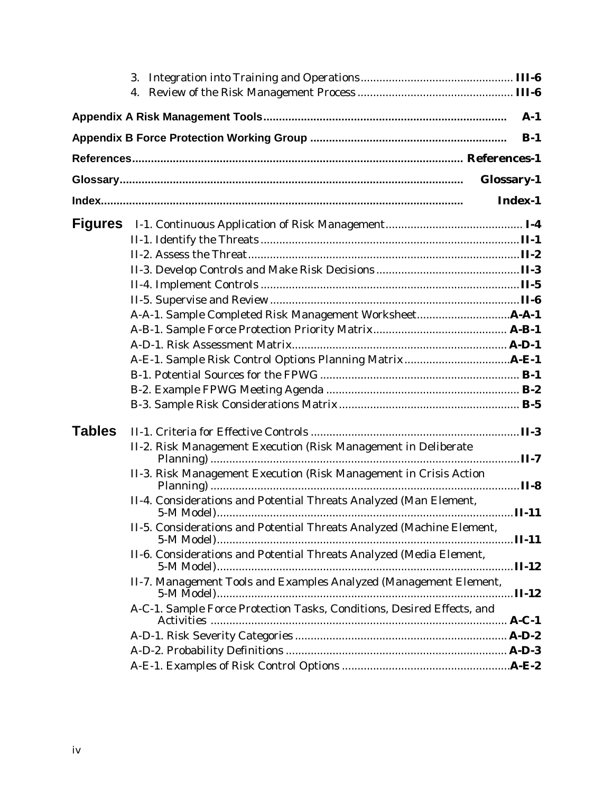|               |                                                                        | $A-1$      |  |  |  |  |
|---------------|------------------------------------------------------------------------|------------|--|--|--|--|
|               |                                                                        | $B-1$      |  |  |  |  |
|               |                                                                        |            |  |  |  |  |
|               |                                                                        | Glossary-1 |  |  |  |  |
|               |                                                                        | Index-1    |  |  |  |  |
|               |                                                                        |            |  |  |  |  |
|               |                                                                        |            |  |  |  |  |
|               |                                                                        |            |  |  |  |  |
|               |                                                                        |            |  |  |  |  |
|               |                                                                        |            |  |  |  |  |
|               |                                                                        |            |  |  |  |  |
|               |                                                                        |            |  |  |  |  |
|               |                                                                        |            |  |  |  |  |
|               |                                                                        |            |  |  |  |  |
|               |                                                                        |            |  |  |  |  |
|               |                                                                        |            |  |  |  |  |
|               |                                                                        |            |  |  |  |  |
|               |                                                                        |            |  |  |  |  |
| <b>Tables</b> |                                                                        |            |  |  |  |  |
|               | II-2. Risk Management Execution (Risk Management in Deliberate         |            |  |  |  |  |
|               | II-3. Risk Management Execution (Risk Management in Crisis Action      |            |  |  |  |  |
|               | II-4. Considerations and Potential Threats Analyzed (Man Element,      |            |  |  |  |  |
|               |                                                                        |            |  |  |  |  |
|               | II-5. Considerations and Potential Threats Analyzed (Machine Element,  |            |  |  |  |  |
|               | II-6. Considerations and Potential Threats Analyzed (Media Element,    |            |  |  |  |  |
|               | II-7. Management Tools and Examples Analyzed (Management Element,      |            |  |  |  |  |
|               | A-C-1. Sample Force Protection Tasks, Conditions, Desired Effects, and |            |  |  |  |  |
|               |                                                                        |            |  |  |  |  |
|               |                                                                        |            |  |  |  |  |
|               |                                                                        |            |  |  |  |  |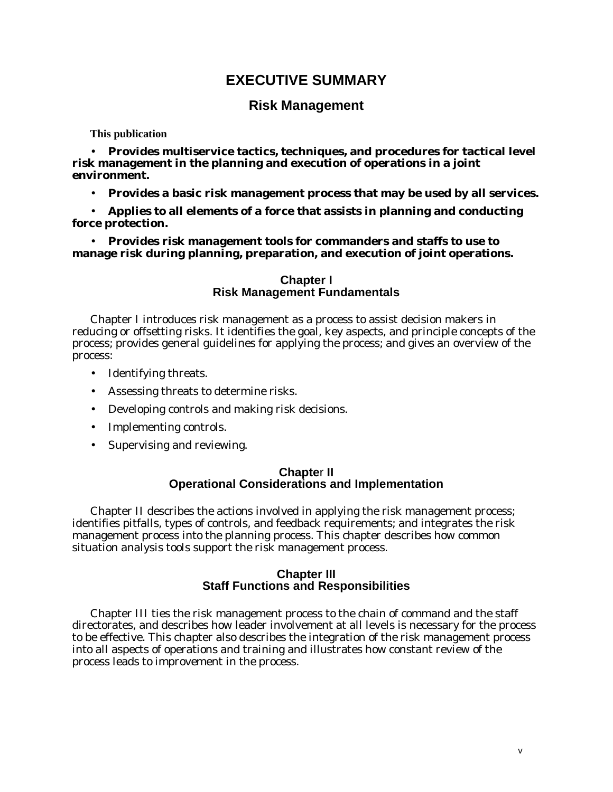# **EXECUTIVE SUMMARY**

# **Risk Management**

**This publication**

• **Provides multiservice tactics, techniques, and procedures for tactical level risk management in the planning and execution of operations in a joint environment.**

• **Provides a basic risk management process that may be used by all services.**

• **Applies to all elements of a force that assists in planning and conducting force protection.**

• **Provides risk management tools for commanders and staffs to use to manage risk during planning, preparation, and execution of joint operations.**

#### **Chapter I Risk Management Fundamentals**

Chapter I introduces risk management as a process to assist decision makers in reducing or offsetting risks. It identifies the goal, key aspects, and principle concepts of the process; provides general guidelines for applying the process; and gives an overview of the process:

- Identifying threats.
- Assessing threats to determine risks.
- Developing controls and making risk decisions.
- Implementing controls.
- Supervising and reviewing.

#### **Chapte**r **II Operational Considerations and Implementation**

Chapter II describes the actions involved in applying the risk management process; identifies pitfalls, types of controls, and feedback requirements; and integrates the risk management process into the planning process. This chapter describes how common situation analysis tools support the risk management process.

#### **Chapter III Staff Functions and Responsibilities**

Chapter III ties the risk management process to the chain of command and the staff directorates, and describes how leader involvement at all levels is necessary for the process to be effective. This chapter also describes the integration of the risk management process into all aspects of operations and training and illustrates how constant review of the process leads to improvement in the process.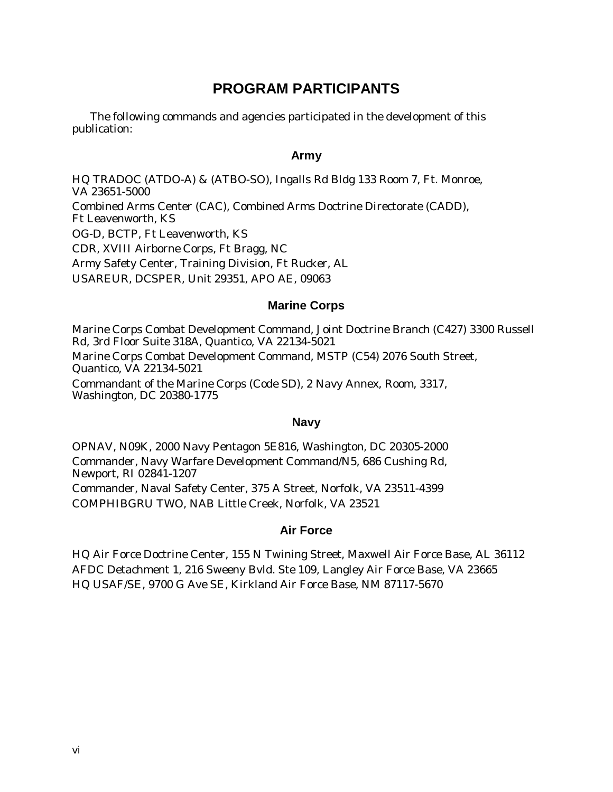# **PROGRAM PARTICIPANTS**

The following commands and agencies participated in the development of this publication:

#### **Army**

HQ TRADOC (ATDO-A) & (ATBO-SO), Ingalls Rd Bldg 133 Room 7, Ft. Monroe, VA 23651-5000 Combined Arms Center (CAC), Combined Arms Doctrine Directorate (CADD), Ft Leavenworth, KS OG-D, BCTP, Ft Leavenworth, KS CDR, XVIII Airborne Corps, Ft Bragg, NC Army Safety Center, Training Division, Ft Rucker, AL USAREUR, DCSPER, Unit 29351, APO AE, 09063

#### **Marine Corps**

Marine Corps Combat Development Command, Joint Doctrine Branch (C427) 3300 Russell Rd, 3rd Floor Suite 318A, Quantico, VA 22134-5021 Marine Corps Combat Development Command, MSTP (C54) 2076 South Street, Quantico, VA 22134-5021 Commandant of the Marine Corps (Code SD), 2 Navy Annex, Room, 3317, Washington, DC 20380-1775

#### **Navy**

OPNAV, N09K, 2000 Navy Pentagon 5E816, Washington, DC 20305-2000 Commander, Navy Warfare Development Command/N5, 686 Cushing Rd, Newport, RI 02841-1207 Commander, Naval Safety Center, 375 A Street, Norfolk, VA 23511-4399 COMPHIBGRU TWO, NAB Little Creek, Norfolk, VA 23521

#### **Air Force**

HQ Air Force Doctrine Center, 155 N Twining Street, Maxwell Air Force Base, AL 36112 AFDC Detachment 1, 216 Sweeny Bvld. Ste 109, Langley Air Force Base, VA 23665 HQ USAF/SE, 9700 G Ave SE, Kirkland Air Force Base, NM 87117-5670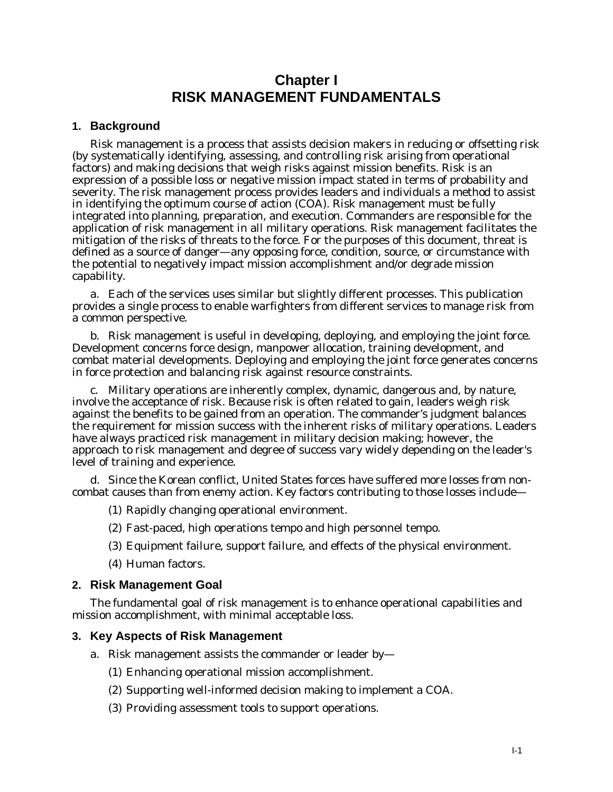# **Chapter I RISK MANAGEMENT FUNDAMENTALS**

#### **1. Background**

Risk management is a process that assists decision makers in reducing or offsetting risk (by systematically identifying, assessing, and controlling risk arising from operational factors) and making decisions that weigh risks against mission benefits. Risk is an expression of a possible loss or negative mission impact stated in terms of probability and severity. The risk management process provides leaders and individuals a method to assist in identifying the optimum course of action (COA). Risk management must be fully integrated into planning, preparation, and execution. Commanders are responsible for the application of risk management in all military operations. Risk management facilitates the mitigation of the risks of threats to the force. For the purposes of this document, threat is defined as a source of danger—any opposing force, condition, source, or circumstance with the potential to negatively impact mission accomplishment and/or degrade mission capability.

a. Each of the services uses similar but slightly different processes. This publication provides a single process to enable warfighters from different services to manage risk from a common perspective.

b. Risk management is useful in developing, deploying, and employing the joint force. Development concerns force design, manpower allocation, training development, and combat material developments. Deploying and employing the joint force generates concerns in force protection and balancing risk against resource constraints.

c. Military operations are inherently complex, dynamic, dangerous and, by nature, involve the acceptance of risk. Because risk is often related to gain, leaders weigh risk against the benefits to be gained from an operation. The commander's judgment balances the requirement for mission success with the inherent risks of military operations. Leaders have always practiced risk management in military decision making; however, the approach to risk management and degree of success vary widely depending on the leader's level of training and experience.

d. Since the Korean conflict, United States forces have suffered more losses from noncombat causes than from enemy action. Key factors contributing to those losses include—

- (1) Rapidly changing operational environment.
- (2) Fast-paced, high operations tempo and high personnel tempo.
- (3) Equipment failure, support failure, and effects of the physical environment.
- (4) Human factors.

#### **2. Risk Management Goal**

The fundamental goal of risk management is to enhance operational capabilities and mission accomplishment, with minimal acceptable loss.

#### **3. Key Aspects of Risk Management**

- a. Risk management assists the commander or leader by—
	- (1) Enhancing operational mission accomplishment.
	- (2) Supporting well-informed decision making to implement a COA.
	- (3) Providing assessment tools to support operations.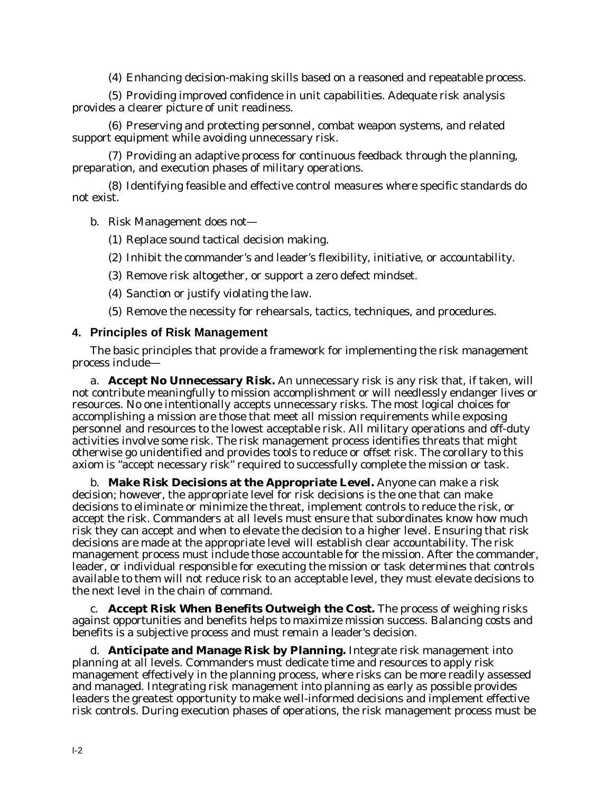(4) Enhancing decision-making skills based on a reasoned and repeatable process.

(5) Providing improved confidence in unit capabilities. Adequate risk analysis provides a clearer picture of unit readiness.

(6) Preserving and protecting personnel, combat weapon systems, and related support equipment while avoiding unnecessary risk.

(7) Providing an adaptive process for continuous feedback through the planning, preparation, and execution phases of military operations.

(8) Identifying feasible and effective control measures where specific standards do not exist.

b. Risk Management does not—

- (1) Replace sound tactical decision making.
- (2) Inhibit the commander's and leader's flexibility, initiative, or accountability.
- (3) Remove risk altogether, or support a zero defect mindset.
- (4) Sanction or justify violating the law.
- (5) Remove the necessity for rehearsals, tactics, techniques, and procedures.

#### **4. Principles of Risk Management**

The basic principles that provide a framework for implementing the risk management process include—

a. **Accept No Unnecessary Risk.** An unnecessary risk is any risk that, if taken, will not contribute meaningfully to mission accomplishment or will needlessly endanger lives or resources. No one intentionally accepts unnecessary risks. The most logical choices for accomplishing a mission are those that meet all mission requirements while exposing personnel and resources to the lowest acceptable risk. All military operations and off-duty activities involve some risk. The risk management process identifies threats that might otherwise go unidentified and provides tools to reduce or offset risk. The corollary to this axiom is "accept necessary risk" required to successfully complete the mission or task.

b. **Make Risk Decisions at the Appropriate Level.** Anyone can make a risk decision; however, the appropriate level for risk decisions is the one that can make decisions to eliminate or minimize the threat, implement controls to reduce the risk, or accept the risk. Commanders at all levels must ensure that subordinates know how much risk they can accept and when to elevate the decision to a higher level. Ensuring that risk decisions are made at the appropriate level will establish clear accountability. The risk management process must include those accountable for the mission. After the commander, leader, or individual responsible for executing the mission or task determines that controls available to them will not reduce risk to an acceptable level, they must elevate decisions to the next level in the chain of command.

c. **Accept Risk When Benefits Outweigh the Cost.** The process of weighing risks against opportunities and benefits helps to maximize mission success. Balancing costs and benefits is a subjective process and must remain a leader's decision.

d. **Anticipate and Manage Risk by Planning.** Integrate risk management into planning at all levels. Commanders must dedicate time and resources to apply risk management effectively in the planning process, where risks can be more readily assessed and managed. Integrating risk management into planning as early as possible provides leaders the greatest opportunity to make well-informed decisions and implement effective risk controls. During execution phases of operations, the risk management process must be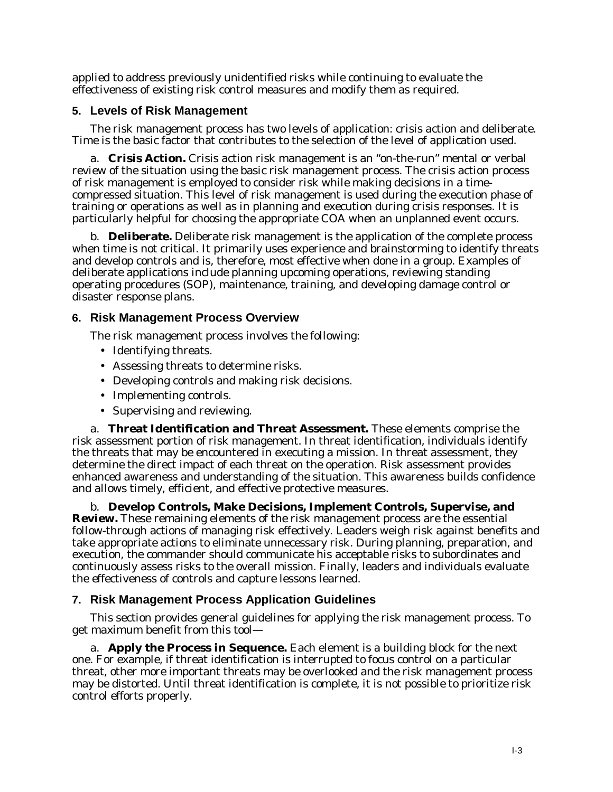applied to address previously unidentified risks while continuing to evaluate the effectiveness of existing risk control measures and modify them as required.

#### **5. Levels of Risk Management**

The risk management process has two levels of application: crisis action and deliberate. Time is the basic factor that contributes to the selection of the level of application used.

a. **Crisis Action.** Crisis action risk management is an "on-the-run" mental or verbal review of the situation using the basic risk management process. The crisis action process of risk management is employed to consider risk while making decisions in a timecompressed situation. This level of risk management is used during the execution phase of training or operations as well as in planning and execution during crisis responses. It is particularly helpful for choosing the appropriate COA when an unplanned event occurs.

b. **Deliberate.** Deliberate risk management is the application of the complete process when time is not critical. It primarily uses experience and brainstorming to identify threats and develop controls and is, therefore, most effective when done in a group. Examples of deliberate applications include planning upcoming operations, reviewing standing operating procedures (SOP), maintenance, training, and developing damage control or disaster response plans.

# **6. Risk Management Process Overview**

The risk management process involves the following:

- Identifying threats.
- Assessing threats to determine risks.
- Developing controls and making risk decisions.
- Implementing controls.
- Supervising and reviewing.

a. **Threat Identification and Threat Assessment.** These elements comprise the risk assessment portion of risk management. In threat identification, individuals identify the threats that may be encountered in executing a mission. In threat assessment, they determine the direct impact of each threat on the operation. Risk assessment provides enhanced awareness and understanding of the situation. This awareness builds confidence and allows timely, efficient, and effective protective measures.

b. **Develop Controls, Make Decisions, Implement Controls, Supervise, and Review.** These remaining elements of the risk management process are the essential follow-through actions of managing risk effectively. Leaders weigh risk against benefits and take appropriate actions to eliminate unnecessary risk. During planning, preparation, and execution, the commander should communicate his acceptable risks to subordinates and continuously assess risks to the overall mission. Finally, leaders and individuals evaluate the effectiveness of controls and capture lessons learned.

# **7. Risk Management Process Application Guidelines**

This section provides general guidelines for applying the risk management process. To get maximum benefit from this tool—

a. **Apply the Process in Sequence.** Each element is a building block for the next one. For example, if threat identification is interrupted to focus control on a particular threat, other more important threats may be overlooked and the risk management process may be distorted. Until threat identification is complete, it is not possible to prioritize risk control efforts properly.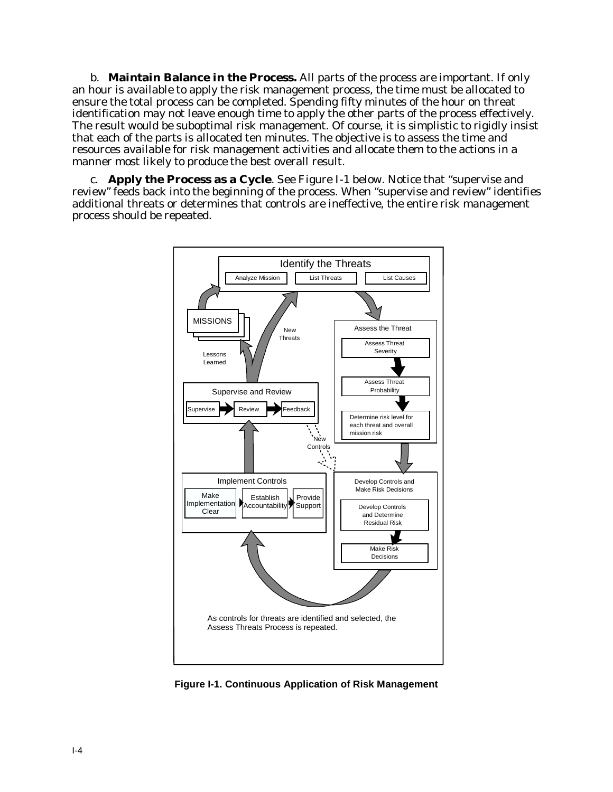b. **Maintain Balance in the Process.** All parts of the process are important. If only an hour is available to apply the risk management process, the time must be allocated to ensure the total process can be completed. Spending fifty minutes of the hour on threat identification may not leave enough time to apply the other parts of the process effectively. The result would be suboptimal risk management. Of course, it is simplistic to rigidly insist that each of the parts is allocated ten minutes. The objective is to assess the time and resources available for risk management activities and allocate them to the actions in a manner most likely to produce the best overall result.

c. **Apply the Process as a Cycle**. See Figure I-1 below. Notice that "supervise and review" feeds back into the beginning of the process. When "supervise and review" identifies additional threats or determines that controls are ineffective, the entire risk management process should be repeated.



**Figure I-1. Continuous Application of Risk Management**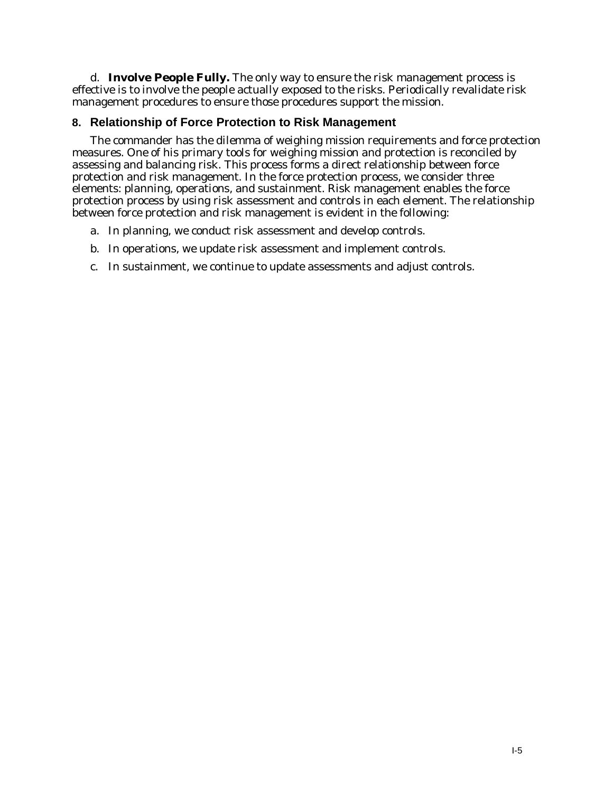d. **Involve People Fully.** The only way to ensure the risk management process is effective is to involve the people actually exposed to the risks. Periodically revalidate risk management procedures to ensure those procedures support the mission.

# **8. Relationship of Force Protection to Risk Management**

The commander has the dilemma of weighing mission requirements and force protection measures. One of his primary tools for weighing mission and protection is reconciled by assessing and balancing risk. This process forms a direct relationship between force protection and risk management. In the force protection process, we consider three elements: planning, operations, and sustainment. Risk management enables the force protection process by using risk assessment and controls in each element. The relationship between force protection and risk management is evident in the following:

- a. In planning, we conduct risk assessment and develop controls.
- b. In operations, we update risk assessment and implement controls.
- c. In sustainment, we continue to update assessments and adjust controls.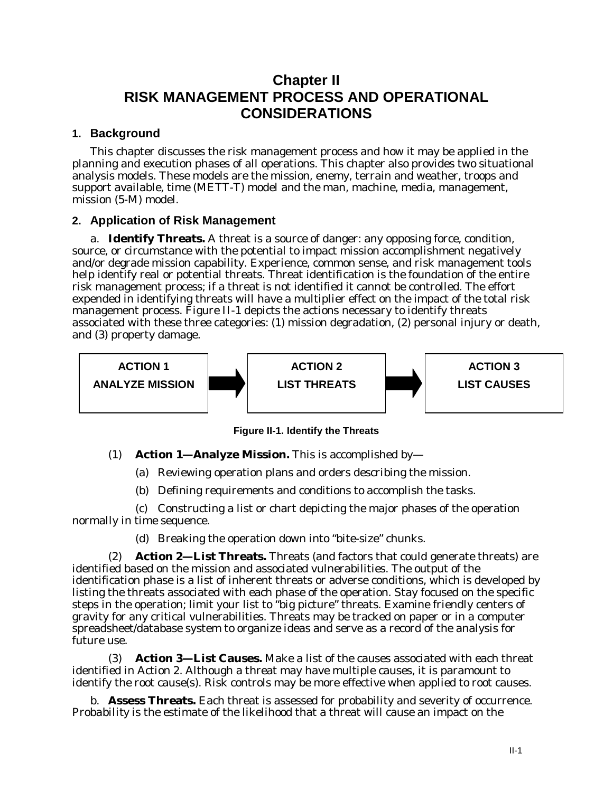# **Chapter II RISK MANAGEMENT PROCESS AND OPERATIONAL CONSIDERATIONS**

#### **1. Background**

This chapter discusses the risk management process and how it may be applied in the planning and execution phases of all operations. This chapter also provides two situational analysis models. These models are the mission, enemy, terrain and weather, troops and support available, time (METT-T) model and the man, machine, media, management, mission (5-M) model.

#### **2. Application of Risk Management**

a. **Identify Threats.** A threat is a source of danger: any opposing force, condition, source, or circumstance with the potential to impact mission accomplishment negatively and/or degrade mission capability. Experience, common sense, and risk management tools help identify real or potential threats. Threat identification is the foundation of the entire risk management process; if a threat is not identified it cannot be controlled. The effort expended in identifying threats will have a multiplier effect on the impact of the total risk management process. Figure II-1 depicts the actions necessary to identify threats associated with these three categories: (1) mission degradation, (2) personal injury or death, and (3) property damage.



**Figure II-1. Identify the Threats**

(1) **Action 1—Analyze Mission.** This is accomplished by—

(a) Reviewing operation plans and orders describing the mission.

(b) Defining requirements and conditions to accomplish the tasks.

(c) Constructing a list or chart depicting the major phases of the operation normally in time sequence.

(d) Breaking the operation down into "bite-size" chunks.

**Action 2—List Threats.** Threats (and factors that could generate threats) are identified based on the mission and associated vulnerabilities. The output of the identification phase is a list of inherent threats or adverse conditions, which is developed by listing the threats associated with each phase of the operation. Stay focused on the specific steps in the operation; limit your list to "big picture" threats. Examine friendly centers of gravity for any critical vulnerabilities. Threats may be tracked on paper or in a computer spreadsheet/database system to organize ideas and serve as a record of the analysis for future use.

(3) **Action 3—List Causes.** Make a list of the causes associated with each threat identified in Action 2. Although a threat may have multiple causes, it is paramount to identify the root cause(s). Risk controls may be more effective when applied to root causes.

b. **Assess Threats.** Each threat is assessed for probability and severity of occurrence. *Probability* is the estimate of the likelihood that a threat will cause an impact on the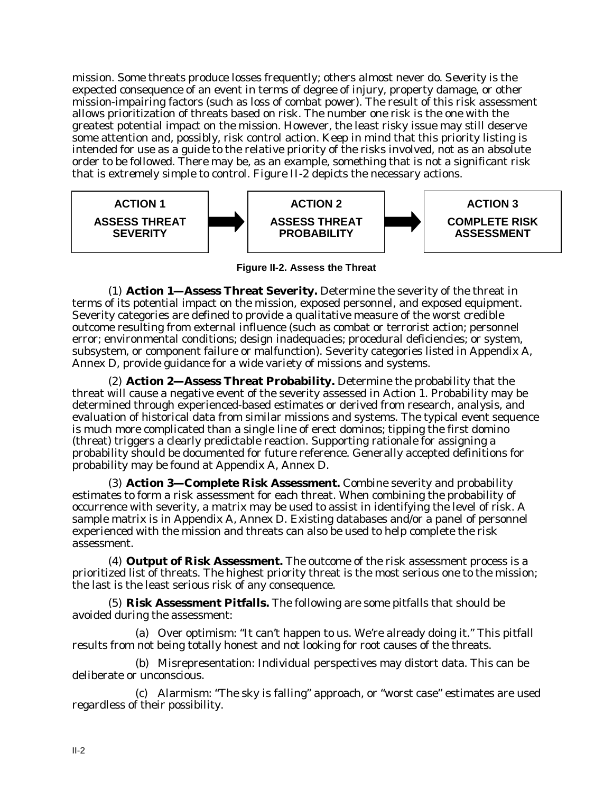mission. Some threats produce losses frequently; others almost never do. *Severity* is the expected consequence of an event in terms of degree of injury, property damage, or other mission-impairing factors (such as loss of combat power). The result of this risk assessment allows prioritization of threats based on risk. The number one risk is the one with the greatest potential impact on the mission. However, the least risky issue may still deserve some attention and, possibly, risk control action. Keep in mind that this priority listing is intended for use as a guide to the relative priority of the risks involved, not as an absolute order to be followed. There may be, as an example, something that is not a significant risk that is extremely simple to control. Figure II-2 depicts the necessary actions.



**Figure II-2. Assess the Threat**

(1) **Action 1—Assess Threat Severity.** Determine the severity of the threat in terms of its potential impact on the mission, exposed personnel, and exposed equipment. Severity categories are defined to provide a qualitative measure of the worst credible outcome resulting from external influence (such as combat or terrorist action; personnel error; environmental conditions; design inadequacies; procedural deficiencies; or system, subsystem, or component failure or malfunction). Severity categories listed in Appendix A, Annex D, provide guidance for a wide variety of missions and systems.

(2) **Action 2—Assess Threat Probability.** Determine the probability that the threat will cause a negative event of the severity assessed in Action 1. Probability may be determined through experienced-based estimates or derived from research, analysis, and evaluation of historical data from similar missions and systems. The typical event sequence is much more complicated than a single line of erect dominos; tipping the first domino (threat) triggers a clearly predictable reaction. Supporting rationale for assigning a probability should be documented for future reference. Generally accepted definitions for probability may be found at Appendix A, Annex D.

(3) **Action 3—Complete Risk Assessment.** Combine severity and probability estimates to form a risk assessment for each threat. When combining the probability of occurrence with severity, a matrix may be used to assist in identifying the level of risk. A sample matrix is in Appendix A, Annex D. Existing databases and/or a panel of personnel experienced with the mission and threats can also be used to help complete the risk assessment.

(4) **Output of Risk Assessment.** The outcome of the risk assessment process is a prioritized list of threats. The highest priority threat is the most serious one to the mission; the last is the least serious risk of any consequence.

(5) **Risk Assessment Pitfalls.** The following are some pitfalls that should be avoided during the assessment:

(a) Over optimism: "It can't happen to us. We're already doing it." This pitfall results from not being totally honest and not looking for root causes of the threats.

(b) Misrepresentation: Individual perspectives may distort data. This can be deliberate or unconscious.

(c) Alarmism: "The sky is falling" approach, or "worst case" estimates are used regardless of their possibility.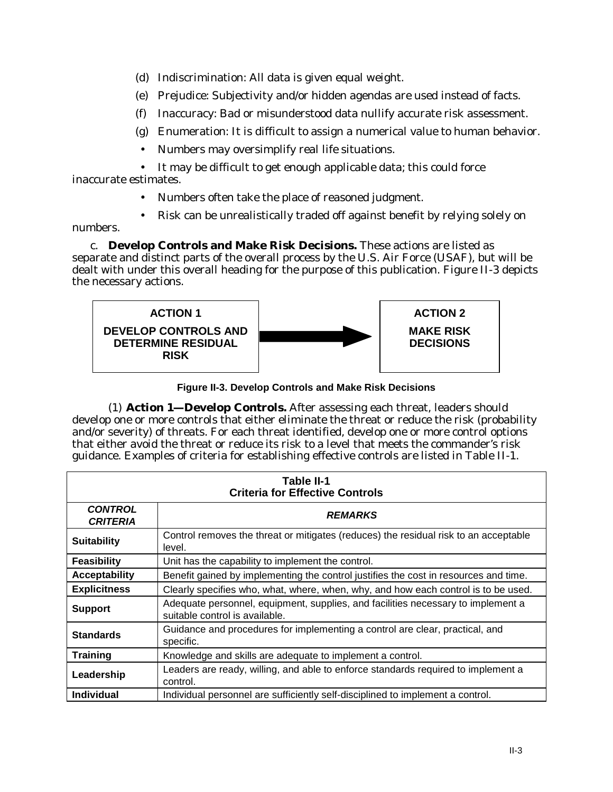- (d) Indiscrimination: All data is given equal weight.
- (e) Prejudice: Subjectivity and/or hidden agendas are used instead of facts.
- (f) Inaccuracy: Bad or misunderstood data nullify accurate risk assessment.
- (g) Enumeration: It is difficult to assign a numerical value to human behavior.
- Numbers may oversimplify real life situations.

• It may be difficult to get enough applicable data; this could force inaccurate estimates.

- Numbers often take the place of reasoned judgment.
- Risk can be unrealistically traded off against benefit by relying solely on

numbers.

c. **Develop Controls and Make Risk Decisions.** These actions are listed as separate and distinct parts of the overall process by the U.S. Air Force (USAF), but will be dealt with under this overall heading for the purpose of this publication. Figure II-3 depicts the necessary actions.



**Figure II-3. Develop Controls and Make Risk Decisions**

(1) **Action 1—Develop Controls.** After assessing each threat, leaders should develop one or more controls that either eliminate the threat or reduce the risk (probability and/or severity) of threats. For each threat identified, develop one or more control options that either avoid the threat or reduce its risk to a level that meets the commander's risk guidance. Examples of criteria for establishing effective controls are listed in Table II-1.

| Table II-1<br><b>Criteria for Effective Controls</b> |                                                                                                                    |  |  |  |  |
|------------------------------------------------------|--------------------------------------------------------------------------------------------------------------------|--|--|--|--|
| <b>CONTROL</b><br><b>CRITERIA</b>                    | <b>REMARKS</b>                                                                                                     |  |  |  |  |
| <b>Suitability</b>                                   | Control removes the threat or mitigates (reduces) the residual risk to an acceptable<br>level.                     |  |  |  |  |
| Feasibility                                          | Unit has the capability to implement the control.                                                                  |  |  |  |  |
| <b>Acceptability</b>                                 | Benefit gained by implementing the control justifies the cost in resources and time.                               |  |  |  |  |
| <b>Explicitness</b>                                  | Clearly specifies who, what, where, when, why, and how each control is to be used.                                 |  |  |  |  |
| <b>Support</b>                                       | Adequate personnel, equipment, supplies, and facilities necessary to implement a<br>suitable control is available. |  |  |  |  |
| <b>Standards</b>                                     | Guidance and procedures for implementing a control are clear, practical, and<br>specific.                          |  |  |  |  |
| <b>Training</b>                                      | Knowledge and skills are adequate to implement a control.                                                          |  |  |  |  |
| Leadership                                           | Leaders are ready, willing, and able to enforce standards required to implement a<br>control.                      |  |  |  |  |
| <b>Individual</b>                                    | Individual personnel are sufficiently self-disciplined to implement a control.                                     |  |  |  |  |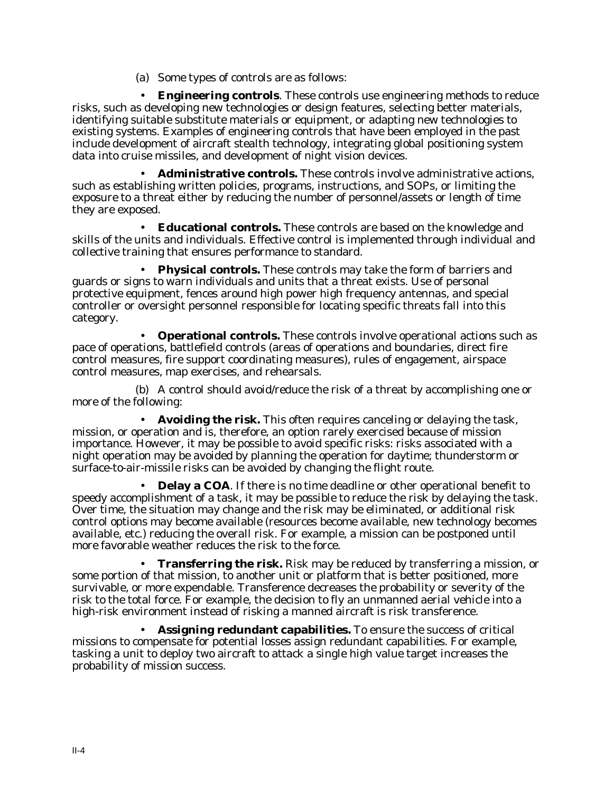(a) Some types of controls are as follows:

• **Engineering controls**. These controls use engineering methods to reduce risks, such as developing new technologies or design features, selecting better materials, identifying suitable substitute materials or equipment, or adapting new technologies to existing systems. Examples of engineering controls that have been employed in the past include development of aircraft stealth technology, integrating global positioning system data into cruise missiles, and development of night vision devices.

• **Administrative controls.** These controls involve administrative actions, such as establishing written policies, programs, instructions, and SOPs, or limiting the exposure to a threat either by reducing the number of personnel/assets or length of time they are exposed.

• **Educational controls.** These controls are based on the knowledge and skills of the units and individuals. Effective control is implemented through individual and collective training that ensures performance to standard.

• **Physical controls.** These controls may take the form of barriers and guards or signs to warn individuals and units that a threat exists. Use of personal protective equipment, fences around high power high frequency antennas, and special controller or oversight personnel responsible for locating specific threats fall into this category.

• **Operational controls.** These controls involve operational actions such as pace of operations, battlefield controls (areas of operations and boundaries, direct fire control measures, fire support coordinating measures), rules of engagement, airspace control measures, map exercises, and rehearsals.

(b) A control should avoid/reduce the risk of a threat by accomplishing one or more of the following:

• **Avoiding the risk.** This often requires canceling or delaying the task, mission, or operation and is, therefore, an option rarely exercised because of mission importance. However, it may be possible to avoid specific risks: risks associated with a night operation may be avoided by planning the operation for daytime; thunderstorm or surface-to-air-missile risks can be avoided by changing the flight route.

• **Delay a COA**. If there is no time deadline or other operational benefit to speedy accomplishment of a task, it may be possible to reduce the risk by delaying the task. Over time, the situation may change and the risk may be eliminated, or additional risk control options may become available (resources become available, new technology becomes available, etc.) reducing the overall risk. For example, a mission can be postponed until more favorable weather reduces the risk to the force.

• **Transferring the risk.** Risk may be reduced by transferring a mission, or some portion of that mission, to another unit or platform that is better positioned, more survivable, or more expendable. Transference decreases the probability or severity of the risk to the total force. For example, the decision to fly an unmanned aerial vehicle into a high-risk environment instead of risking a manned aircraft is risk transference.

• **Assigning redundant capabilities.** To ensure the success of critical missions to compensate for potential losses assign redundant capabilities. For example, tasking a unit to deploy two aircraft to attack a single high value target increases the probability of mission success.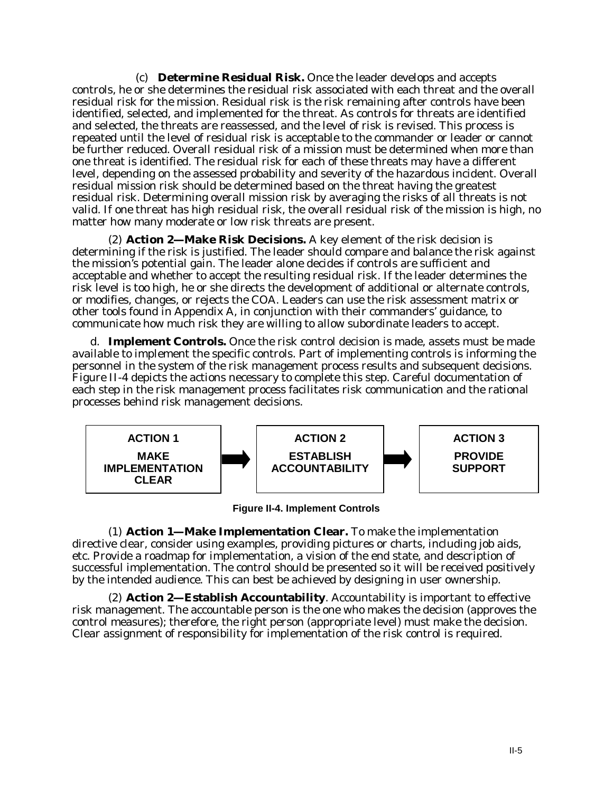(c) **Determine Residual Risk.** Once the leader develops and accepts controls, he or she determines the residual risk associated with each threat and the overall residual risk for the mission. Residual risk is the risk remaining after controls have been identified, selected, and implemented for the threat. As controls for threats are identified and selected, the threats are reassessed, and the level of risk is revised. This process is repeated until the level of residual risk is acceptable to the commander or leader or cannot be further reduced. Overall residual risk of a mission must be determined when more than one threat is identified. The residual risk for each of these threats may have a different level, depending on the assessed probability and severity of the hazardous incident. Overall residual mission risk should be determined based on the threat having the greatest residual risk. Determining overall mission risk by averaging the risks of all threats is not valid. If one threat has high residual risk, the overall residual risk of the mission is high, no matter how many moderate or low risk threats are present.

(2) **Action 2—Make Risk Decisions.** A key element of the risk decision is determining if the risk is justified. The leader should compare and balance the risk against the mission's potential gain. The leader alone decides if controls are sufficient and acceptable and whether to accept the resulting residual risk. If the leader determines the risk level is too high, he or she directs the development of additional or alternate controls, or modifies, changes, or rejects the COA. Leaders can use the risk assessment matrix or other tools found in Appendix A, in conjunction with their commanders' guidance, to communicate how much risk they are willing to allow subordinate leaders to accept.

d. **Implement Controls.** Once the risk control decision is made, assets must be made available to implement the specific controls. Part of implementing controls is informing the personnel in the system of the risk management process results and subsequent decisions. Figure II-4 depicts the actions necessary to complete this step. Careful documentation of each step in the risk management process facilitates risk communication and the rational processes behind risk management decisions.



**Figure II-4. Implement Controls**

(1) **Action 1—Make Implementation Clear.** To make the implementation directive clear, consider using examples, providing pictures or charts, including job aids, etc. Provide a roadmap for implementation, a vision of the end state, and description of successful implementation. The control should be presented so it will be received positively by the intended audience. This can best be achieved by designing in user ownership.

(2) **Action 2—Establish Accountability**. Accountability is important to effective risk management. The accountable person is the one who makes the decision (approves the control measures); therefore, the right person (appropriate level) must make the decision. Clear assignment of responsibility for implementation of the risk control is required.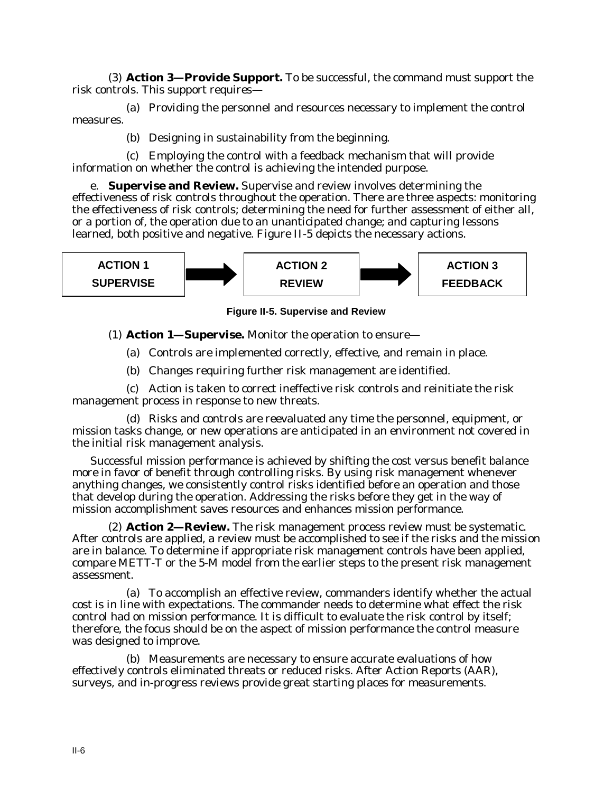(3) **Action 3—Provide Support.** To be successful, the command must support the risk controls. This support requires—

(a) Providing the personnel and resources necessary to implement the control measures.

(b) Designing in sustainability from the beginning.

(c) Employing the control with a feedback mechanism that will provide information on whether the control is achieving the intended purpose.

e. **Supervise and Review.** Supervise and review involves determining the effectiveness of risk controls throughout the operation. There are three aspects: monitoring the effectiveness of risk controls; determining the need for further assessment of either all, or a portion of, the operation due to an unanticipated change; and capturing lessons learned, both positive and negative. Figure II-5 depicts the necessary actions.



**Figure II-5. Supervise and Review**

(1) **Action 1—Supervise.** Monitor the operation to ensure—

(a) Controls are implemented correctly, effective, and remain in place.

(b) Changes requiring further risk management are identified.

(c) Action is taken to correct ineffective risk controls and reinitiate the risk management process in response to new threats.

(d) Risks and controls are reevaluated any time the personnel, equipment, or mission tasks change, or new operations are anticipated in an environment not covered in the initial risk management analysis.

Successful mission performance is achieved by shifting the cost versus benefit balance more in favor of benefit through controlling risks. By using risk management whenever anything changes, we consistently control risks identified before an operation and those that develop during the operation. Addressing the risks before they get in the way of mission accomplishment saves resources and enhances mission performance.

(2) **Action 2—Review.** The risk management process review must be systematic. After controls are applied, a review must be accomplished to see if the risks and the mission are in balance. To determine if appropriate risk management controls have been applied, compare METT-T or the 5-M model from the earlier steps to the present risk management assessment.

(a) To accomplish an effective review, commanders identify whether the actual cost is in line with expectations. The commander needs to determine what effect the risk control had on mission performance. It is difficult to evaluate the risk control by itself; therefore, the focus should be on the aspect of mission performance the control measure was designed to improve.

(b) Measurements are necessary to ensure accurate evaluations of how effectively controls eliminated threats or reduced risks. After Action Reports (AAR), surveys, and in-progress reviews provide great starting places for measurements.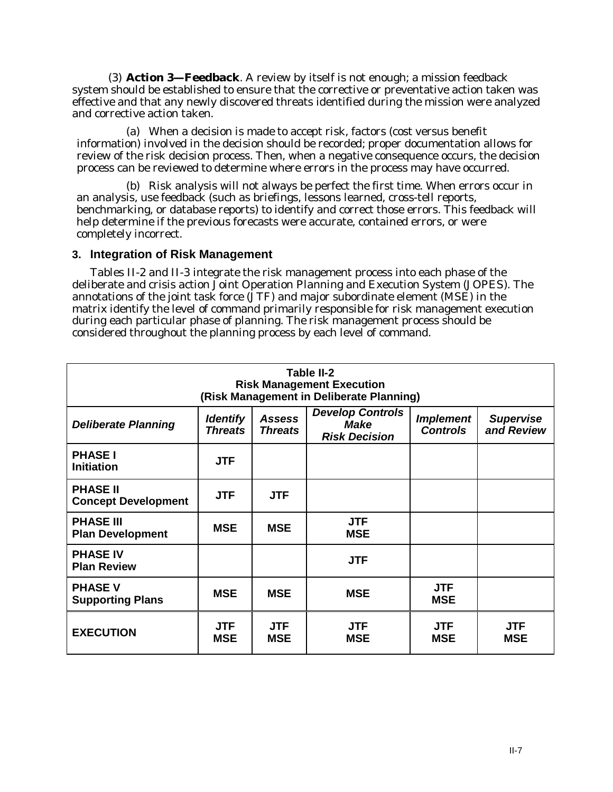(3) **Action 3—Feedback**. A review by itself is not enough; a mission feedback system should be established to ensure that the corrective or preventative action taken was effective and that any newly discovered threats identified during the mission were analyzed and corrective action taken.

(a) When a decision is made to accept risk, factors (cost versus benefit information) involved in the decision should be recorded; proper documentation allows for review of the risk decision process. Then, when a negative consequence occurs, the decision process can be reviewed to determine where errors in the process may have occurred.

(b) Risk analysis will not always be perfect the first time. When errors occur in an analysis, use feedback (such as briefings, lessons learned, cross-tell reports, benchmarking, or database reports) to identify and correct those errors. This feedback will help determine if the previous forecasts were accurate, contained errors, or were completely incorrect.

#### **3. Integration of Risk Management**

Tables II-2 and II-3 integrate the risk management process into each phase of the deliberate and crisis action Joint Operation Planning and Execution System (JOPES). The annotations of the joint task force (JTF) and major subordinate element (MSE) in the matrix identify the level of command primarily responsible for risk management execution during each particular phase of planning. The risk management process should be considered throughout the planning process by each level of command.

| Table II-2<br><b>Risk Management Execution</b><br>(Risk Management in Deliberate Planning)                                                                                                                                                    |                          |                          |                          |                          |                          |  |
|-----------------------------------------------------------------------------------------------------------------------------------------------------------------------------------------------------------------------------------------------|--------------------------|--------------------------|--------------------------|--------------------------|--------------------------|--|
| <b>Develop Controls</b><br><b>Implement</b><br><b>Identify</b><br><b>Assess</b><br><b>Supervise</b><br><b>Make</b><br><b>Deliberate Planning</b><br><b>Threats</b><br><b>Controls</b><br>and Review<br><b>Threats</b><br><b>Risk Decision</b> |                          |                          |                          |                          |                          |  |
| <b>PHASE I</b><br><b>Initiation</b>                                                                                                                                                                                                           | <b>JTF</b>               |                          |                          |                          |                          |  |
| <b>PHASE II</b><br><b>Concept Development</b>                                                                                                                                                                                                 | <b>JTF</b>               | <b>JTF</b>               |                          |                          |                          |  |
| <b>PHASE III</b><br><b>Plan Development</b>                                                                                                                                                                                                   | <b>MSE</b>               | <b>MSE</b>               | <b>JTF</b><br><b>MSE</b> |                          |                          |  |
| <b>PHASE IV</b><br><b>Plan Review</b>                                                                                                                                                                                                         |                          |                          | <b>JTF</b>               |                          |                          |  |
| <b>PHASE V</b><br><b>Supporting Plans</b>                                                                                                                                                                                                     | <b>MSE</b>               | <b>MSE</b>               | <b>MSE</b>               | <b>JTF</b><br><b>MSE</b> |                          |  |
| <b>EXECUTION</b>                                                                                                                                                                                                                              | <b>JTF</b><br><b>MSE</b> | <b>JTF</b><br><b>MSE</b> | <b>JTF</b><br><b>MSE</b> | <b>JTF</b><br><b>MSE</b> | <b>JTF</b><br><b>MSE</b> |  |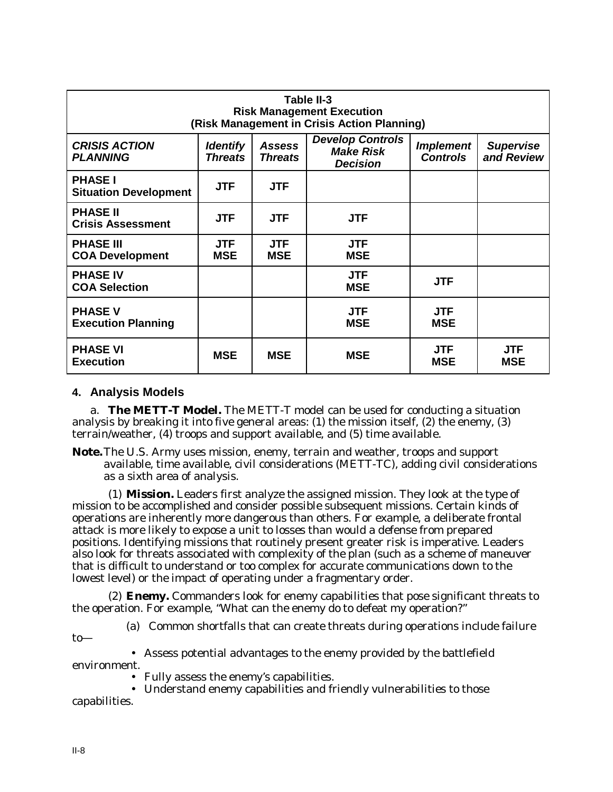| Table II-3<br><b>Risk Management Execution</b><br>(Risk Management in Crisis Action Planning)                                                                                                                                                              |                          |                          |                          |                          |                          |  |
|------------------------------------------------------------------------------------------------------------------------------------------------------------------------------------------------------------------------------------------------------------|--------------------------|--------------------------|--------------------------|--------------------------|--------------------------|--|
| <b>Develop Controls</b><br><b>CRISIS ACTION</b><br><b>Identify</b><br><b>Assess</b><br><b>Implement</b><br><b>Supervise</b><br><b>Make Risk</b><br>and Review<br><b>Controls</b><br><b>PLANNING</b><br><b>Threats</b><br><b>Threats</b><br><b>Decision</b> |                          |                          |                          |                          |                          |  |
| <b>PHASE I</b><br><b>Situation Development</b>                                                                                                                                                                                                             | <b>JTF</b>               | <b>JTF</b>               |                          |                          |                          |  |
| <b>PHASE II</b><br><b>Crisis Assessment</b>                                                                                                                                                                                                                | <b>JTF</b>               | <b>JTF</b>               | <b>JTF</b>               |                          |                          |  |
| <b>PHASE III</b><br><b>COA Development</b>                                                                                                                                                                                                                 | <b>JTF</b><br><b>MSE</b> | <b>JTF</b><br><b>MSE</b> | <b>JTF</b><br><b>MSE</b> |                          |                          |  |
| <b>PHASE IV</b><br><b>COA Selection</b>                                                                                                                                                                                                                    |                          |                          | <b>JTF</b><br><b>MSE</b> | <b>JTF</b>               |                          |  |
| <b>PHASE V</b><br><b>Execution Planning</b>                                                                                                                                                                                                                |                          |                          | <b>JTF</b><br><b>MSE</b> | <b>JTF</b><br><b>MSE</b> |                          |  |
| <b>PHASE VI</b><br><b>Execution</b>                                                                                                                                                                                                                        | <b>MSE</b>               | <b>MSE</b>               | <b>MSE</b>               | <b>JTF</b><br><b>MSE</b> | <b>JTF</b><br><b>MSE</b> |  |

#### **4. Analysis Models**

a. **The METT-T Model.** The METT-T model can be used for conducting a situation analysis by breaking it into five general areas: (1) the mission itself, (2) the enemy, (3) terrain/weather, (4) troops and support available, and (5) time available.

**Note.**The U.S. Army uses mission, enemy, terrain and weather, troops and support available, time available, civil considerations (METT-TC), adding civil considerations as a sixth area of analysis.

(1) **Mission.** Leaders first analyze the assigned mission. They look at the type of mission to be accomplished and consider possible subsequent missions. Certain kinds of operations are inherently more dangerous than others. For example, a deliberate frontal attack is more likely to expose a unit to losses than would a defense from prepared positions. Identifying missions that routinely present greater risk is imperative. Leaders also look for threats associated with complexity of the plan (such as a scheme of maneuver that is difficult to understand or too complex for accurate communications down to the lowest level) or the impact of operating under a fragmentary order.

(2) **Enemy.** Commanders look for enemy capabilities that pose significant threats to the operation. For example, "What can the enemy do to defeat my operation?"

(a) Common shortfalls that can create threats during operations include failure

to—

• Assess potential advantages to the enemy provided by the battlefield

environment.

• Fully assess the enemy's capabilities.

• Understand enemy capabilities and friendly vulnerabilities to those capabilities.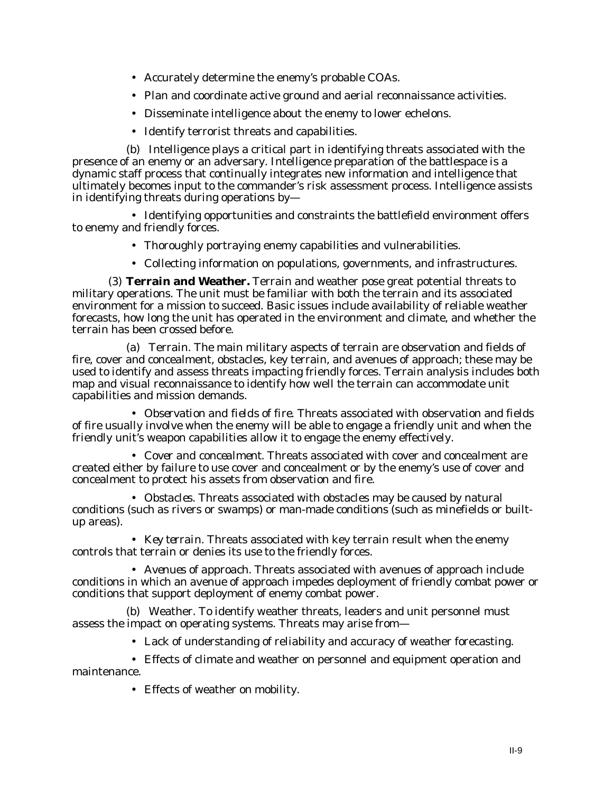- Accurately determine the enemy's probable COAs.
- Plan and coordinate active ground and aerial reconnaissance activities.
- Disseminate intelligence about the enemy to lower echelons.
- Identify terrorist threats and capabilities.

(b) Intelligence plays a critical part in identifying threats associated with the presence of an enemy or an adversary. Intelligence preparation of the battlespace is a dynamic staff process that continually integrates new information and intelligence that ultimately becomes input to the commander's risk assessment process. Intelligence assists in identifying threats during operations by—

• Identifying opportunities and constraints the battlefield environment offers to enemy and friendly forces.

- Thoroughly portraying enemy capabilities and vulnerabilities.
- Collecting information on populations, governments, and infrastructures.

(3) **Terrain and Weather.** Terrain and weather pose great potential threats to military operations. The unit must be familiar with both the terrain and its associated environment for a mission to succeed. Basic issues include availability of reliable weather forecasts, how long the unit has operated in the environment and climate, and whether the terrain has been crossed before.

(a) Terrain. The main military aspects of terrain are observation and fields of fire, cover and concealment, obstacles, key terrain, and avenues of approach; these may be used to identify and assess threats impacting friendly forces. Terrain analysis includes both map and visual reconnaissance to identify how well the terrain can accommodate unit capabilities and mission demands.

• *Observation and fields of fire.* Threats associated with observation and fields of fire usually involve when the enemy will be able to engage a friendly unit and when the friendly unit's weapon capabilities allow it to engage the enemy effectively.

• *Cover and concealment.* Threats associated with cover and concealment are created either by failure to use cover and concealment or by the enemy's use of cover and concealment to protect his assets from observation and fire.

• *Obstacles.* Threats associated with obstacles may be caused by natural conditions (such as rivers or swamps) or man-made conditions (such as minefields or builtup areas).

• *Key terrain.* Threats associated with key terrain result when the enemy controls that terrain or denies its use to the friendly forces.

• *Avenues of approach.* Threats associated with avenues of approach include conditions in which an avenue of approach impedes deployment of friendly combat power or conditions that support deployment of enemy combat power.

(b) Weather. To identify weather threats, leaders and unit personnel must assess the impact on operating systems. Threats may arise from—

- Lack of understanding of reliability and accuracy of weather forecasting.
- Effects of climate and weather on personnel and equipment operation and maintenance.
	- Effects of weather on mobility.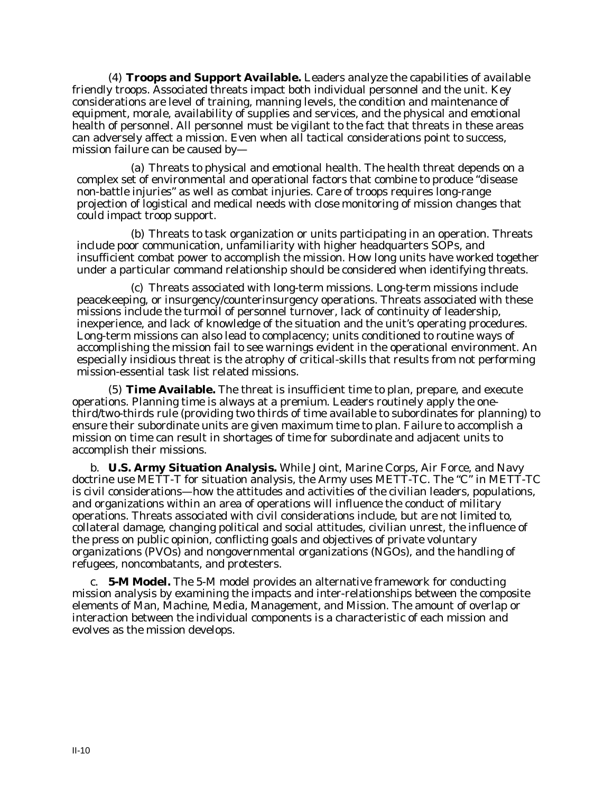(4) **Troops and Support Available.** Leaders analyze the capabilities of available friendly troops. Associated threats impact both individual personnel and the unit. Key considerations are level of training, manning levels, the condition and maintenance of equipment, morale, availability of supplies and services, and the physical and emotional health of personnel. All personnel must be vigilant to the fact that threats in these areas can adversely affect a mission. Even when all tactical considerations point to success, mission failure can be caused by—

(a) Threats to physical and emotional health. The health threat depends on a complex set of environmental and operational factors that combine to produce "disease non-battle injuries" as well as combat injuries. Care of troops requires long-range projection of logistical and medical needs with close monitoring of mission changes that could impact troop support.

(b) Threats to task organization or units participating in an operation. Threats include poor communication, unfamiliarity with higher headquarters SOPs, and insufficient combat power to accomplish the mission. How long units have worked together under a particular command relationship should be considered when identifying threats.

(c) Threats associated with long-term missions. Long-term missions include peacekeeping, or insurgency/counterinsurgency operations. Threats associated with these missions include the turmoil of personnel turnover, lack of continuity of leadership, inexperience, and lack of knowledge of the situation and the unit's operating procedures. Long-term missions can also lead to complacency; units conditioned to routine ways of accomplishing the mission fail to see warnings evident in the operational environment. An especially insidious threat is the atrophy of critical-skills that results from not performing mission-essential task list related missions.

(5) **Time Available.** The threat is insufficient time to plan, prepare, and execute operations. Planning time is always at a premium. Leaders routinely apply the onethird/two-thirds rule (providing two thirds of time available to subordinates for planning) to ensure their subordinate units are given maximum time to plan. Failure to accomplish a mission on time can result in shortages of time for subordinate and adjacent units to accomplish their missions.

b. **U.S. Army Situation Analysis.** While Joint, Marine Corps, Air Force, and Navy doctrine use METT-T for situation analysis, the Army uses METT-TC. The "C" in METT-TC is civil considerations—how the attitudes and activities of the civilian leaders, populations, and organizations within an area of operations will influence the conduct of military operations. Threats associated with civil considerations include, but are not limited to, collateral damage, changing political and social attitudes, civilian unrest, the influence of the press on public opinion, conflicting goals and objectives of private voluntary organizations (PVOs) and nongovernmental organizations (NGOs), and the handling of refugees, noncombatants, and protesters.

c. **5-M Model.** The 5-M model provides an alternative framework for conducting mission analysis by examining the impacts and inter-relationships between the composite elements of Man, Machine, Media, Management, and Mission. The amount of overlap or interaction between the individual components is a characteristic of each mission and evolves as the mission develops.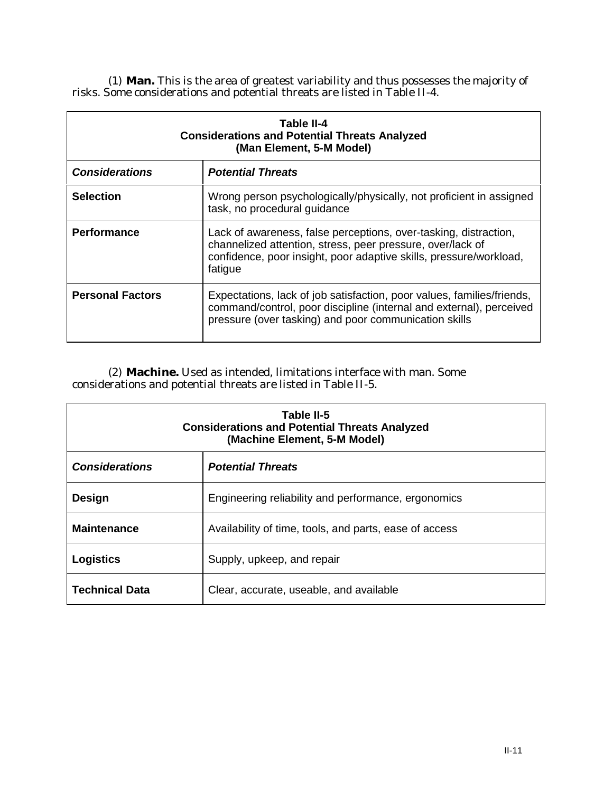(1) **Man.** This is the area of greatest variability and thus possesses the majority of risks. Some considerations and potential threats are listed in Table II-4.

| Table II-4<br><b>Considerations and Potential Threats Analyzed</b><br>(Man Element, 5-M Model) |                                                                                                                                                                                                                 |  |  |  |
|------------------------------------------------------------------------------------------------|-----------------------------------------------------------------------------------------------------------------------------------------------------------------------------------------------------------------|--|--|--|
| <b>Considerations</b>                                                                          | <b>Potential Threats</b>                                                                                                                                                                                        |  |  |  |
| <b>Selection</b>                                                                               | Wrong person psychologically/physically, not proficient in assigned<br>task, no procedural guidance                                                                                                             |  |  |  |
| <b>Performance</b>                                                                             | Lack of awareness, false perceptions, over-tasking, distraction,<br>channelized attention, stress, peer pressure, over/lack of<br>confidence, poor insight, poor adaptive skills, pressure/workload,<br>fatigue |  |  |  |
| <b>Personal Factors</b>                                                                        | Expectations, lack of job satisfaction, poor values, families/friends,<br>command/control, poor discipline (internal and external), perceived<br>pressure (over tasking) and poor communication skills          |  |  |  |

(2) **Machine.** Used as intended, limitations interface with man. Some considerations and potential threats are listed in Table II-5.

| Table II-5<br><b>Considerations and Potential Threats Analyzed</b><br>(Machine Element, 5-M Model) |                                                     |  |  |  |
|----------------------------------------------------------------------------------------------------|-----------------------------------------------------|--|--|--|
| <b>Considerations</b>                                                                              | <b>Potential Threats</b>                            |  |  |  |
| Design                                                                                             | Engineering reliability and performance, ergonomics |  |  |  |
| <b>Maintenance</b><br>Availability of time, tools, and parts, ease of access                       |                                                     |  |  |  |
| <b>Logistics</b>                                                                                   | Supply, upkeep, and repair                          |  |  |  |
| <b>Technical Data</b>                                                                              | Clear, accurate, useable, and available             |  |  |  |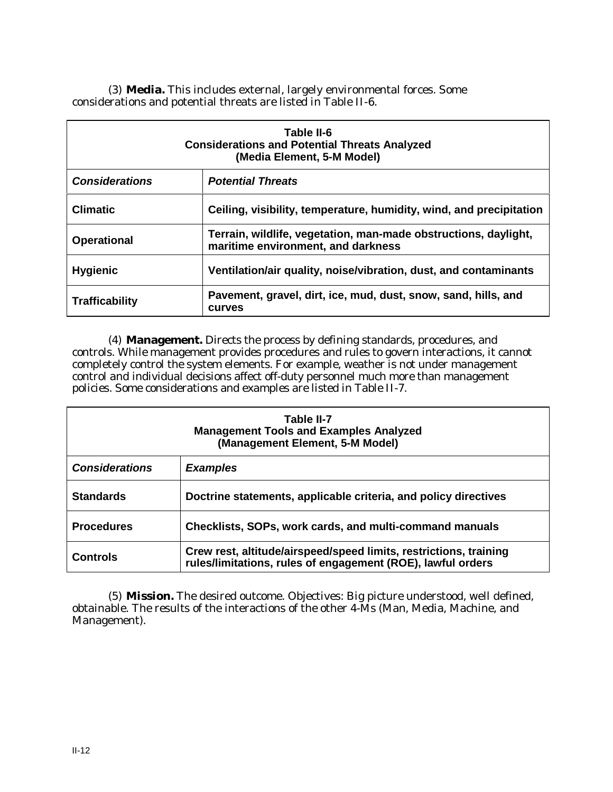(3) **Media.** This includes external, largely environmental forces. Some considerations and potential threats are listed in Table II-6.

| Table II-6<br><b>Considerations and Potential Threats Analyzed</b><br>(Media Element, 5-M Model) |                                                                                                       |  |  |  |
|--------------------------------------------------------------------------------------------------|-------------------------------------------------------------------------------------------------------|--|--|--|
| <b>Considerations</b>                                                                            | <b>Potential Threats</b>                                                                              |  |  |  |
| <b>Climatic</b>                                                                                  | Ceiling, visibility, temperature, humidity, wind, and precipitation                                   |  |  |  |
| <b>Operational</b>                                                                               | Terrain, wildlife, vegetation, man-made obstructions, daylight,<br>maritime environment, and darkness |  |  |  |
| <b>Hygienic</b>                                                                                  | Ventilation/air quality, noise/vibration, dust, and contaminants                                      |  |  |  |
| <b>Trafficability</b>                                                                            | Pavement, gravel, dirt, ice, mud, dust, snow, sand, hills, and<br><b>CULVES</b>                       |  |  |  |

(4) **Management.** Directs the process by defining standards, procedures, and controls. While management provides procedures and rules to govern interactions, it cannot completely control the system elements. For example, weather is not under management control and individual decisions affect off-duty personnel much more than management policies. Some considerations and examples are listed in Table II-7.

| Table II-7<br><b>Management Tools and Examples Analyzed</b><br>(Management Element, 5-M Model) |                                                                                                                                  |  |  |  |  |
|------------------------------------------------------------------------------------------------|----------------------------------------------------------------------------------------------------------------------------------|--|--|--|--|
| <b>Considerations</b>                                                                          | <b>Examples</b>                                                                                                                  |  |  |  |  |
| <b>Standards</b>                                                                               | Doctrine statements, applicable criteria, and policy directives                                                                  |  |  |  |  |
| <b>Procedures</b>                                                                              | Checklists, SOPs, work cards, and multi-command manuals                                                                          |  |  |  |  |
| <b>Controls</b>                                                                                | Crew rest, altitude/airspeed/speed limits, restrictions, training<br>rules/limitations, rules of engagement (ROE), lawful orders |  |  |  |  |

(5) **Mission.** The desired outcome. Objectives: Big picture understood, well defined, obtainable. The results of the interactions of the other 4-Ms (Man, Media, Machine, and Management).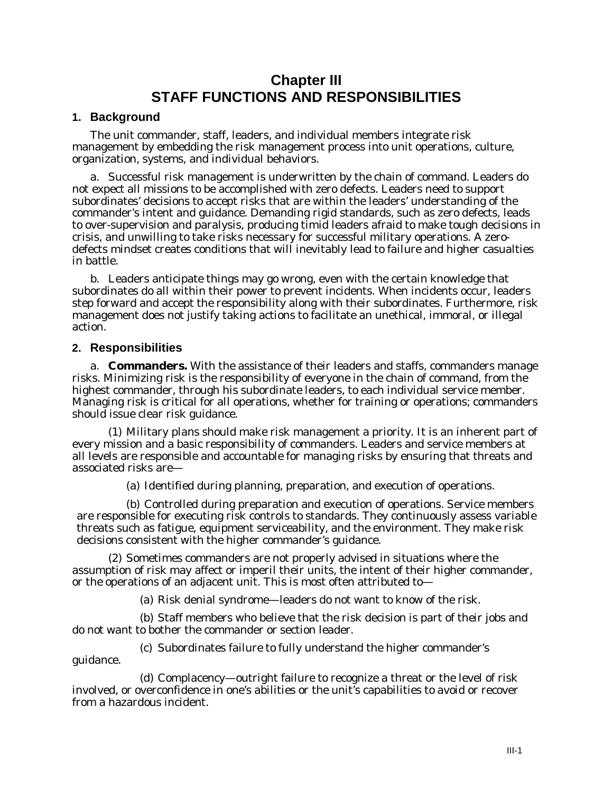# **Chapter III STAFF FUNCTIONS AND RESPONSIBILITIES**

#### **1. Background**

The unit commander, staff, leaders, and individual members integrate risk management by embedding the risk management process into unit operations, culture, organization, systems, and individual behaviors.

a. Successful risk management is underwritten by the chain of command. Leaders do not expect all missions to be accomplished with zero defects. Leaders need to support subordinates' decisions to accept risks that are within the leaders' understanding of the commander's intent and guidance. Demanding rigid standards, such as zero defects, leads to over-supervision and paralysis, producing timid leaders afraid to make tough decisions in crisis, and unwilling to take risks necessary for successful military operations. A zerodefects mindset creates conditions that will inevitably lead to failure and higher casualties in battle.

b. Leaders anticipate things may go wrong, even with the certain knowledge that subordinates do all within their power to prevent incidents. When incidents occur, leaders step forward and accept the responsibility along with their subordinates. Furthermore, risk management does not justify taking actions to facilitate an unethical, immoral, or illegal action.

#### **2. Responsibilities**

guidance.

a. **Commanders.** With the assistance of their leaders and staffs, commanders manage risks. Minimizing risk is the responsibility of everyone in the chain of command, from the highest commander, through his subordinate leaders, to each individual service member. Managing risk is critical for all operations, whether for training or operations; commanders should issue clear risk guidance.

(1) Military plans should make risk management a priority. It is an inherent part of every mission and a basic responsibility of commanders. Leaders and service members at all levels are responsible and accountable for managing risks by ensuring that threats and associated risks are—

(a) Identified during planning, preparation, and execution of operations.

(b) Controlled during preparation and execution of operations. Service members are responsible for executing risk controls to standards. They continuously assess variable threats such as fatigue, equipment serviceability, and the environment. They make risk decisions consistent with the higher commander's guidance.

(2) Sometimes commanders are not properly advised in situations where the assumption of risk may affect or imperil their units, the intent of their higher commander, or the operations of an adjacent unit. This is most often attributed to—

(a) Risk denial syndrome—leaders do not want to know of the risk.

(b) Staff members who believe that the risk decision is part of their jobs and do not want to bother the commander or section leader.

(c) Subordinates failure to fully understand the higher commander's

(d) Complacency—outright failure to recognize a threat or the level of risk involved, or overconfidence in one's abilities or the unit's capabilities to avoid or recover from a hazardous incident.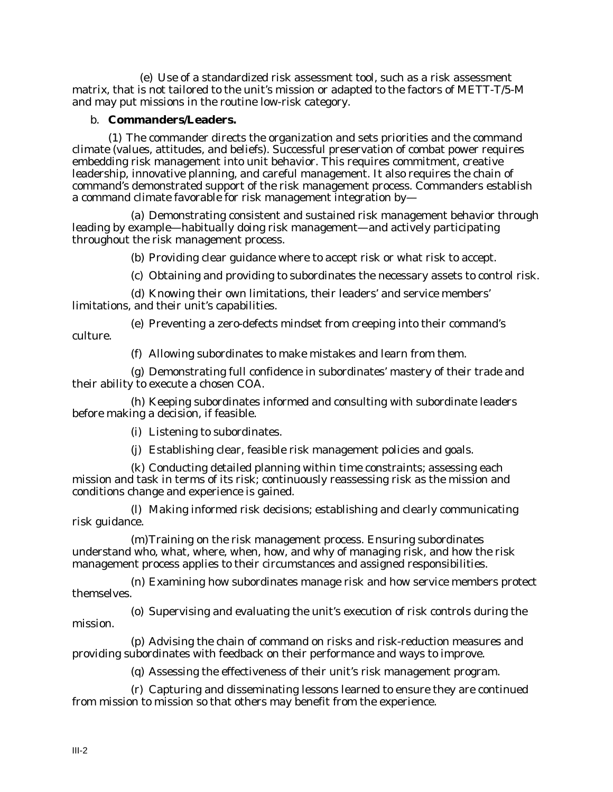(e) Use of a standardized risk assessment tool, such as a risk assessment matrix, that is not tailored to the unit's mission or adapted to the factors of METT-T/5-M and may put missions in the routine low-risk category.

#### b. **Commanders/Leaders.**

(1) The commander directs the organization and sets priorities and the command climate (values, attitudes, and beliefs). Successful preservation of combat power requires embedding risk management into unit behavior. This requires commitment, creative leadership, innovative planning, and careful management. It also requires the chain of command's demonstrated support of the risk management process. Commanders establish a command climate favorable for risk management integration by—

(a) Demonstrating consistent and sustained risk management behavior through leading by example—habitually doing risk management—and actively participating throughout the risk management process.

(b) Providing clear guidance where to accept risk or what risk to accept.

(c) Obtaining and providing to subordinates the necessary assets to control risk.

(d) Knowing their own limitations, their leaders' and service members' limitations, and their unit's capabilities.

(e) Preventing a zero-defects mindset from creeping into their command's culture.

(f) Allowing subordinates to make mistakes and learn from them.

(g) Demonstrating full confidence in subordinates' mastery of their trade and their ability to execute a chosen COA.

(h) Keeping subordinates informed and consulting with subordinate leaders before making a decision, if feasible.

(i) Listening to subordinates.

(j) Establishing clear, feasible risk management policies and goals.

(k) Conducting detailed planning within time constraints; assessing each mission and task in terms of its risk; continuously reassessing risk as the mission and conditions change and experience is gained.

(l) Making informed risk decisions; establishing and clearly communicating risk guidance.

(m)Training on the risk management process. Ensuring subordinates understand who, what, where, when, how, and why of managing risk, and how the risk management process applies to their circumstances and assigned responsibilities.

(n) Examining how subordinates manage risk and how service members protect themselves.

(o) Supervising and evaluating the unit's execution of risk controls during the mission.

(p) Advising the chain of command on risks and risk-reduction measures and providing subordinates with feedback on their performance and ways to improve.

(q) Assessing the effectiveness of their unit's risk management program.

(r) Capturing and disseminating lessons learned to ensure they are continued from mission to mission so that others may benefit from the experience.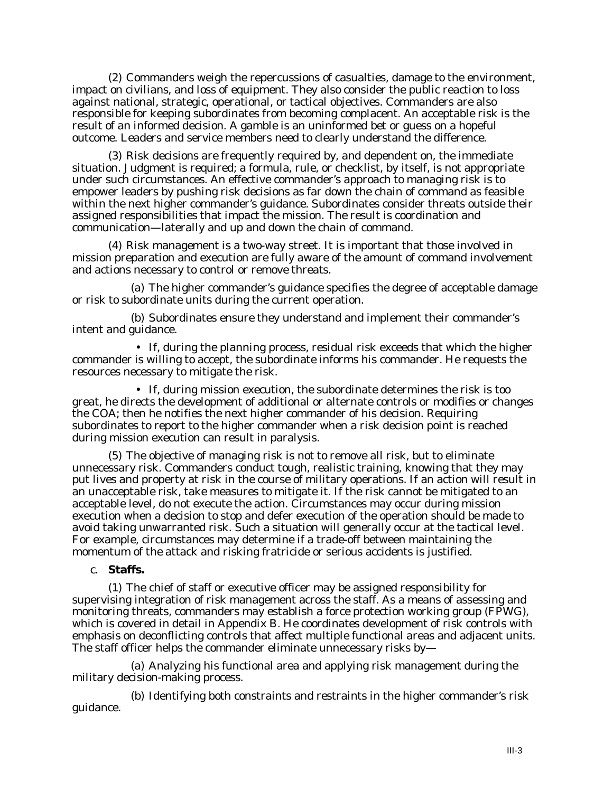(2) Commanders weigh the repercussions of casualties, damage to the environment, impact on civilians, and loss of equipment. They also consider the public reaction to loss against national, strategic, operational, or tactical objectives. Commanders are also responsible for keeping subordinates from becoming complacent. An acceptable risk is the result of an informed decision. A gamble is an uninformed bet or guess on a hopeful outcome. Leaders and service members need to clearly understand the difference.

(3) Risk decisions are frequently required by, and dependent on, the immediate situation. Judgment is required; a formula, rule, or checklist, by itself, is not appropriate under such circumstances. An effective commander's approach to managing risk is to empower leaders by pushing risk decisions as far down the chain of command as feasible within the next higher commander's guidance. Subordinates consider threats outside their assigned responsibilities that impact the mission. The result is coordination and communication—laterally and up and down the chain of command.

(4) Risk management is a two-way street. It is important that those involved in mission preparation and execution are fully aware of the amount of command involvement and actions necessary to control or remove threats.

(a) The higher commander's guidance specifies the degree of acceptable damage or risk to subordinate units during the current operation.

(b) Subordinates ensure they understand and implement their commander's intent and guidance.

• If, during the planning process, residual risk exceeds that which the higher commander is willing to accept, the subordinate informs his commander. He requests the resources necessary to mitigate the risk.

• If, during mission execution, the subordinate determines the risk is too great, he directs the development of additional or alternate controls or modifies or changes the COA; then he notifies the next higher commander of his decision. Requiring subordinates to report to the higher commander when a risk decision point is reached during mission execution can result in paralysis.

(5) The objective of managing risk is not to remove all risk, but to eliminate unnecessary risk. Commanders conduct tough, realistic training, knowing that they may put lives and property at risk in the course of military operations. If an action will result in an unacceptable risk, take measures to mitigate it. If the risk cannot be mitigated to an acceptable level, do not execute the action. Circumstances may occur during mission execution when a decision to stop and defer execution of the operation should be made to avoid taking unwarranted risk. Such a situation will generally occur at the tactical level. For example, circumstances may determine if a trade-off between maintaining the momentum of the attack and risking fratricide or serious accidents is justified.

#### c. **Staffs.**

(1) The chief of staff or executive officer may be assigned responsibility for supervising integration of risk management across the staff. As a means of assessing and monitoring threats, commanders may establish a force protection working group (FPWG), which is covered in detail in Appendix B. He coordinates development of risk controls with emphasis on deconflicting controls that affect multiple functional areas and adjacent units. The staff officer helps the commander eliminate unnecessary risks by—

(a) Analyzing his functional area and applying risk management during the military decision-making process.

(b) Identifying both constraints and restraints in the higher commander's risk guidance.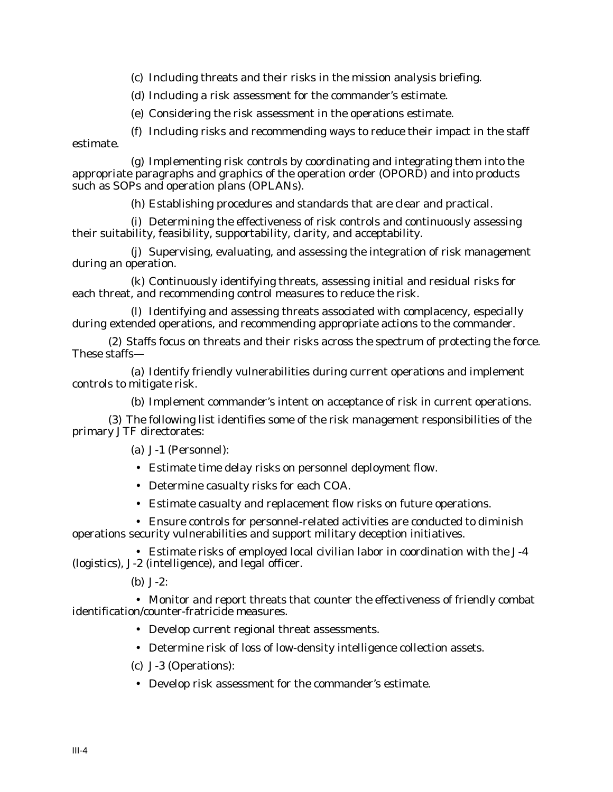(c) Including threats and their risks in the mission analysis briefing.

(d) Including a risk assessment for the commander's estimate.

(e) Considering the risk assessment in the operations estimate.

(f) Including risks and recommending ways to reduce their impact in the staff estimate.

(g) Implementing risk controls by coordinating and integrating them into the appropriate paragraphs and graphics of the operation order (OPORD) and into products such as SOPs and operation plans (OPLANs).

(h) Establishing procedures and standards that are clear and practical.

(i) Determining the effectiveness of risk controls and continuously assessing their suitability, feasibility, supportability, clarity, and acceptability.

(j) Supervising, evaluating, and assessing the integration of risk management during an operation.

(k) Continuously identifying threats, assessing initial and residual risks for each threat, and recommending control measures to reduce the risk.

(l) Identifying and assessing threats associated with complacency, especially during extended operations, and recommending appropriate actions to the commander.

(2) Staffs focus on threats and their risks across the spectrum of protecting the force. These staffs—

(a) Identify friendly vulnerabilities during current operations and implement controls to mitigate risk.

(b) Implement commander's intent on acceptance of risk in current operations.

(3) The following list identifies some of the risk management responsibilities of the primary JTF directorates:

(a) J-1 (Personnel):

• Estimate time delay risks on personnel deployment flow.

- Determine casualty risks for each COA.
- Estimate casualty and replacement flow risks on future operations.

• Ensure controls for personnel-related activities are conducted to diminish operations security vulnerabilities and support military deception initiatives.

• Estimate risks of employed local civilian labor in coordination with the J-4 (logistics), J-2 (intelligence), and legal officer.

(b) J-2:

• Monitor and report threats that counter the effectiveness of friendly combat identification/counter-fratricide measures.

• Develop current regional threat assessments.

• Determine risk of loss of low-density intelligence collection assets.

- (c) J-3 (Operations):
- Develop risk assessment for the commander's estimate.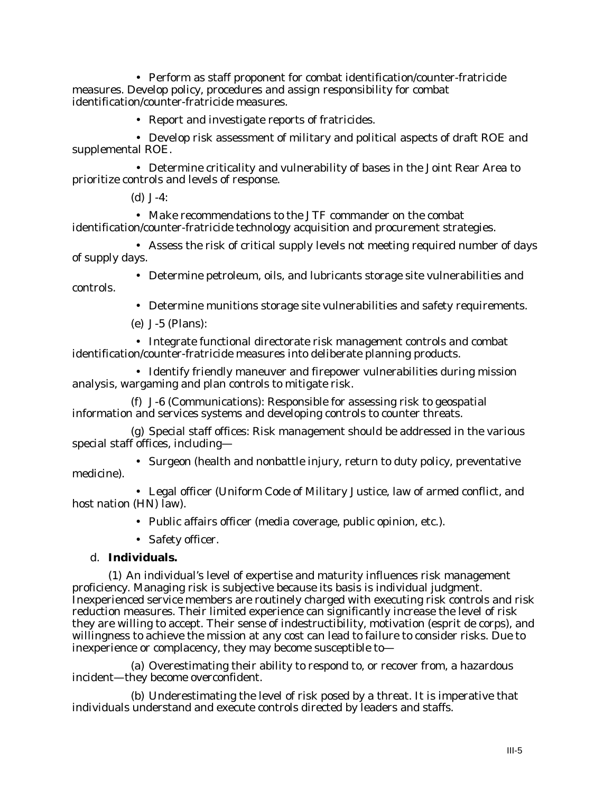• Perform as staff proponent for combat identification/counter-fratricide measures. Develop policy, procedures and assign responsibility for combat identification/counter-fratricide measures.

• Report and investigate reports of fratricides.

• Develop risk assessment of military and political aspects of draft ROE and supplemental ROE.

• Determine criticality and vulnerability of bases in the Joint Rear Area to prioritize controls and levels of response.

(d) J-4:

• Make recommendations to the JTF commander on the combat identification/counter-fratricide technology acquisition and procurement strategies.

• Assess the risk of critical supply levels not meeting required number of days of supply days.

• Determine petroleum, oils, and lubricants storage site vulnerabilities and controls.

• Determine munitions storage site vulnerabilities and safety requirements.

(e) J-5 (Plans):

• Integrate functional directorate risk management controls and combat identification/counter-fratricide measures into deliberate planning products.

• Identify friendly maneuver and firepower vulnerabilities during mission analysis, wargaming and plan controls to mitigate risk.

(f) J-6 (Communications): Responsible for assessing risk to geospatial information and services systems and developing controls to counter threats.

(g) Special staff offices: Risk management should be addressed in the various special staff offices, including—

• Surgeon (health and nonbattle injury, return to duty policy, preventative medicine).

• Legal officer (Uniform Code of Military Justice, law of armed conflict, and host nation (HN) law).

• Public affairs officer (media coverage, public opinion, etc.).

• Safety officer.

# d. **Individuals.**

(1) An individual's level of expertise and maturity influences risk management proficiency. Managing risk is subjective because its basis is individual judgment. Inexperienced service members are routinely charged with executing risk controls and risk reduction measures. Their limited experience can significantly increase the level of risk they are willing to accept. Their sense of indestructibility, motivation (esprit de corps), and willingness to achieve the mission at any cost can lead to failure to consider risks. Due to inexperience or complacency, they may become susceptible to—

(a) Overestimating their ability to respond to, or recover from, a hazardous incident—they become overconfident.

(b) Underestimating the level of risk posed by a threat. It is imperative that individuals understand and execute controls directed by leaders and staffs.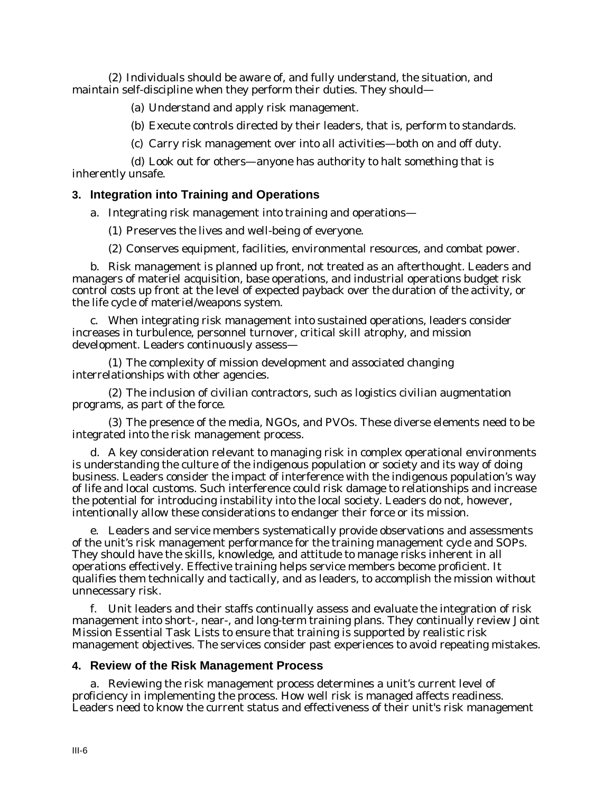(2) Individuals should be aware of, and fully understand, the situation, and maintain self-discipline when they perform their duties. They should—

(a) Understand and apply risk management.

(b) Execute controls directed by their leaders, that is, perform to standards.

(c) Carry risk management over into all activities—both on and off duty.

(d) Look out for others—anyone has authority to halt something that is inherently unsafe.

#### **3. Integration into Training and Operations**

a. Integrating risk management into training and operations—

(1) Preserves the lives and well-being of everyone.

(2) Conserves equipment, facilities, environmental resources, and combat power.

b. Risk management is planned up front, not treated as an afterthought. Leaders and managers of materiel acquisition, base operations, and industrial operations budget risk control costs up front at the level of expected payback over the duration of the activity, or the life cycle of materiel/weapons system.

c. When integrating risk management into sustained operations, leaders consider increases in turbulence, personnel turnover, critical skill atrophy, and mission development. Leaders continuously assess—

(1) The complexity of mission development and associated changing interrelationships with other agencies.

(2) The inclusion of civilian contractors, such as logistics civilian augmentation programs, as part of the force.

(3) The presence of the media, NGOs, and PVOs. These diverse elements need to be integrated into the risk management process.

d. A key consideration relevant to managing risk in complex operational environments is understanding the culture of the indigenous population or society and its way of doing business. Leaders consider the impact of interference with the indigenous population's way of life and local customs. Such interference could risk damage to relationships and increase the potential for introducing instability into the local society. Leaders do not, however, intentionally allow these considerations to endanger their force or its mission.

e. Leaders and service members systematically provide observations and assessments of the unit's risk management performance for the training management cycle and SOPs. They should have the skills, knowledge, and attitude to manage risks inherent in all operations effectively. Effective training helps service members become proficient. It qualifies them technically and tactically, and as leaders, to accomplish the mission without unnecessary risk.

f. Unit leaders and their staffs continually assess and evaluate the integration of risk management into short-, near-, and long-term training plans. They continually review Joint Mission Essential Task Lists to ensure that training is supported by realistic risk management objectives. The services consider past experiences to avoid repeating mistakes.

#### **4. Review of the Risk Management Process**

a. Reviewing the risk management process determines a unit's current level of proficiency in implementing the process. How well risk is managed affects readiness. Leaders need to know the current status and effectiveness of their unit's risk management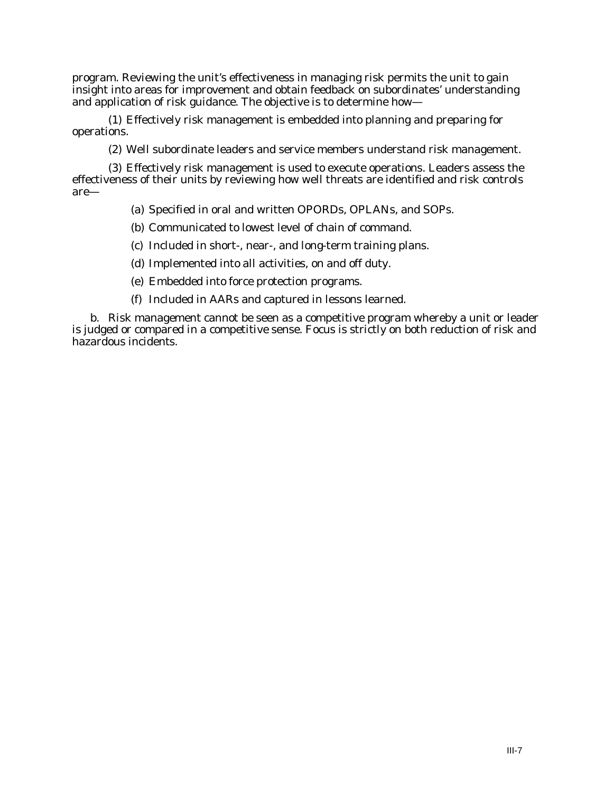program. Reviewing the unit's effectiveness in managing risk permits the unit to gain insight into areas for improvement and obtain feedback on subordinates' understanding and application of risk guidance. The objective is to determine how—

(1) Effectively risk management is embedded into planning and preparing for operations.

(2) Well subordinate leaders and service members understand risk management.

(3) Effectively risk management is used to execute operations. Leaders assess the effectiveness of their units by reviewing how well threats are identified and risk controls are—

(a) Specified in oral and written OPORDs, OPLANs, and SOPs.

(b) Communicated to lowest level of chain of command.

- (c) Included in short-, near-, and long-term training plans.
- (d) Implemented into all activities, on and off duty.
- (e) Embedded into force protection programs.
- (f) Included in AARs and captured in lessons learned.

b. Risk management cannot be seen as a competitive program whereby a unit or leader is judged or compared in a competitive sense. Focus is strictly on both reduction of risk and hazardous incidents.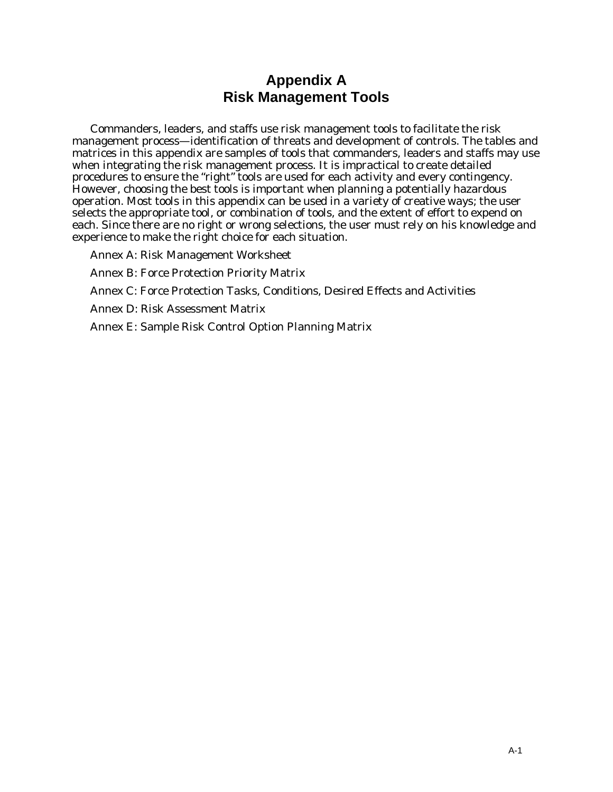# **Appendix A Risk Management Tools**

Commanders, leaders, and staffs use risk management tools to facilitate the risk management process—identification of threats and development of controls. The tables and matrices in this appendix are samples of tools that commanders, leaders and staffs may use when integrating the risk management process. It is impractical to create detailed procedures to ensure the "right" tools are used for each activity and every contingency. However, choosing the best tools is important when planning a potentially hazardous operation. Most tools in this appendix can be used in a variety of creative ways; the user selects the appropriate tool, or combination of tools, and the extent of effort to expend on each. Since there are no right or wrong selections, the user must rely on his knowledge and experience to make the right choice for each situation.

Annex A: Risk Management Worksheet

Annex B: Force Protection Priority Matrix

Annex C: Force Protection Tasks, Conditions, Desired Effects and Activities

Annex D: Risk Assessment Matrix

Annex E: Sample Risk Control Option Planning Matrix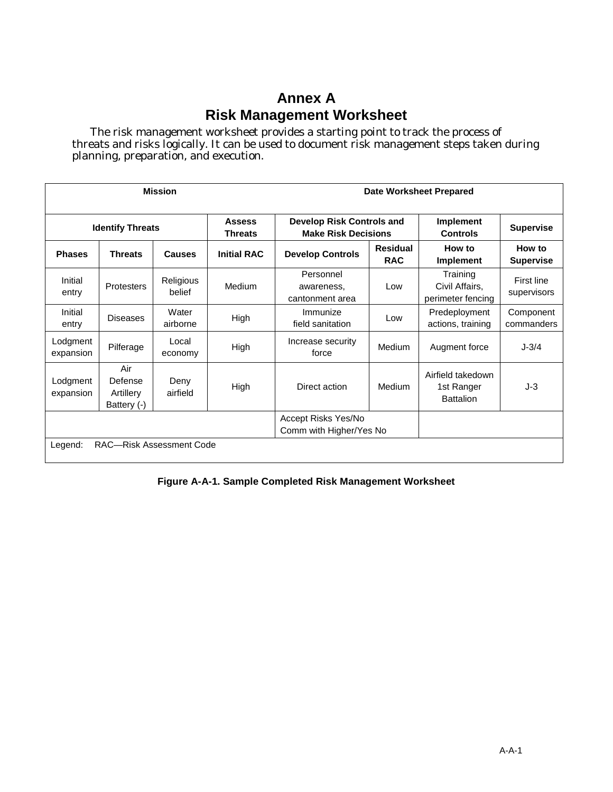# **Annex A Risk Management Worksheet**

The risk management worksheet provides a starting point to track the process of threats and risks logically. It can be used to document risk management steps taken during planning, preparation, and execution.

| <b>Mission</b>          |                                            |                     |                          | Date Worksheet Prepared                                        |                               |                                                     |                            |
|-------------------------|--------------------------------------------|---------------------|--------------------------|----------------------------------------------------------------|-------------------------------|-----------------------------------------------------|----------------------------|
| <b>Identify Threats</b> |                                            |                     | <b>Assess</b><br>Threats | <b>Develop Risk Controls and</b><br><b>Make Risk Decisions</b> |                               | Implement<br><b>Controls</b>                        | <b>Supervise</b>           |
| <b>Phases</b>           | <b>Threats</b>                             | <b>Causes</b>       | <b>Initial RAC</b>       | <b>Develop Controls</b>                                        | <b>Residual</b><br><b>RAC</b> |                                                     | How to<br><b>Supervise</b> |
| Initial<br>entry        | <b>Protesters</b>                          | Religious<br>belief | Medium                   | Personnel<br>awareness,<br>cantonment area                     | Low                           | Training<br>Civil Affairs,<br>perimeter fencing     | First line<br>supervisors  |
| Initial<br>entry        | <b>Diseases</b>                            | Water<br>airborne   | High                     | Immunize<br>field sanitation                                   | Low                           | Predeployment<br>actions, training                  | Component<br>commanders    |
| Lodgment<br>expansion   | Pilferage                                  | Local<br>economy    | High                     | Increase security<br>force                                     | Medium                        | Augment force                                       | $J - 3/4$                  |
| Lodgment<br>expansion   | Air<br>Defense<br>Artillery<br>Battery (-) | Deny<br>airfield    | High                     | Direct action                                                  | Medium                        | Airfield takedown<br>1st Ranger<br><b>Battalion</b> | $J-3$                      |
|                         |                                            |                     |                          | Accept Risks Yes/No<br>Comm with Higher/Yes No                 |                               |                                                     |                            |
| Legend:                 | RAC-Risk Assessment Code                   |                     |                          |                                                                |                               |                                                     |                            |

#### **Figure A-A-1. Sample Completed Risk Management Worksheet**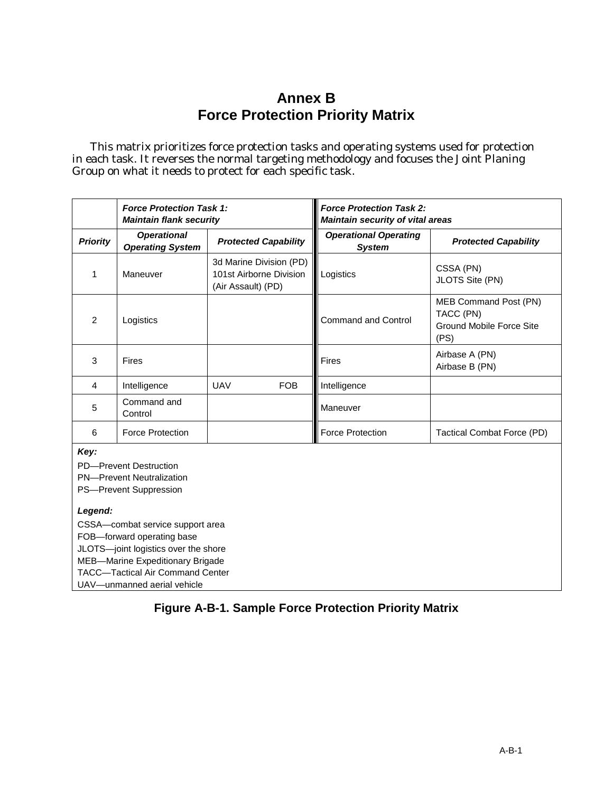# **Annex B Force Protection Priority Matrix**

This matrix prioritizes force protection tasks and operating systems used for protection in each task. It reverses the normal targeting methodology and focuses the Joint Planing Group on what it needs to protect for each specific task.

|                 | <b>Force Protection Task 1:</b><br><b>Maintain flank security</b> |                                                                          | <b>Force Protection Task 2:</b><br><b>Maintain security of vital areas</b> |                                                                        |  |
|-----------------|-------------------------------------------------------------------|--------------------------------------------------------------------------|----------------------------------------------------------------------------|------------------------------------------------------------------------|--|
| <b>Priority</b> | <b>Operational</b><br><b>Operating System</b>                     | <b>Protected Capability</b>                                              | <b>Operational Operating</b><br><b>System</b>                              | <b>Protected Capability</b>                                            |  |
|                 | Maneuver                                                          | 3d Marine Division (PD)<br>101st Airborne Division<br>(Air Assault) (PD) | Logistics                                                                  | CSSA (PN)<br>JLOTS Site (PN)                                           |  |
| $\mathcal{P}$   | Logistics                                                         |                                                                          | <b>Command and Control</b>                                                 | MEB Command Post (PN)<br>TACC (PN)<br>Ground Mobile Force Site<br>(PS) |  |
| 3               | Fires                                                             |                                                                          | <b>Fires</b>                                                               | Airbase A (PN)<br>Airbase B (PN)                                       |  |
| $\overline{4}$  | Intelligence                                                      | <b>UAV</b><br>FOB.                                                       | Intelligence                                                               |                                                                        |  |
| 5               | Command and<br>Control                                            |                                                                          | Maneuver                                                                   |                                                                        |  |
| 6               | <b>Force Protection</b>                                           |                                                                          | <b>Force Protection</b>                                                    | Tactical Combat Force (PD)                                             |  |
| Kav:            |                                                                   |                                                                          |                                                                            |                                                                        |  |

*Key:*

PD—Prevent Destruction

PN—Prevent Neutralization

PS—Prevent Suppression

#### *Legend:*

CSSA—combat service support area FOB—forward operating base JLOTS—joint logistics over the shore MEB—Marine Expeditionary Brigade TACC—Tactical Air Command Center UAV—unmanned aerial vehicle

# **Figure A-B-1. Sample Force Protection Priority Matrix**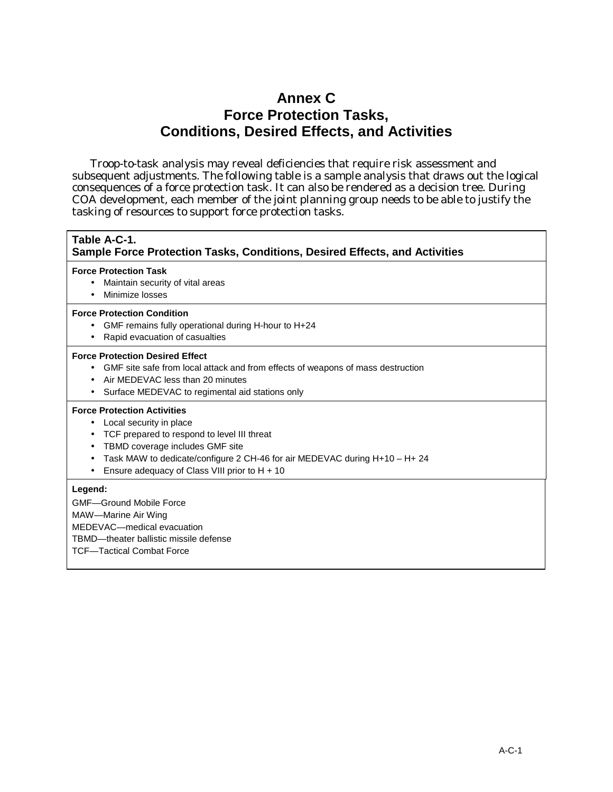# **Annex C Force Protection Tasks, Conditions, Desired Effects, and Activities**

Troop-to-task analysis may reveal deficiencies that require risk assessment and subsequent adjustments. The following table is a sample analysis that draws out the logical consequences of a force protection task. It can also be rendered as a decision tree. During COA development, each member of the joint planning group needs to be able to justify the tasking of resources to support force protection tasks.

#### **Table A-C-1. Sample Force Protection Tasks, Conditions, Desired Effects, and Activities**

#### **Force Protection Task**

- Maintain security of vital areas
- Minimize losses

#### **Force Protection Condition**

- GMF remains fully operational during H-hour to H+24
- Rapid evacuation of casualties

#### **Force Protection Desired Effect**

- GMF site safe from local attack and from effects of weapons of mass destruction
- Air MEDEVAC less than 20 minutes
- Surface MEDEVAC to regimental aid stations only

#### **Force Protection Activities**

- Local security in place
- TCF prepared to respond to level III threat
- TBMD coverage includes GMF site
- Task MAW to dedicate/configure 2 CH-46 for air MEDEVAC during H+10 H+ 24
- Ensure adequacy of Class VIII prior to  $H + 10$

#### **Legend:**

GMF—Ground Mobile Force MAW—Marine Air Wing

MEDEVAC—medical evacuation

TBMD—theater ballistic missile defense

TCF—Tactical Combat Force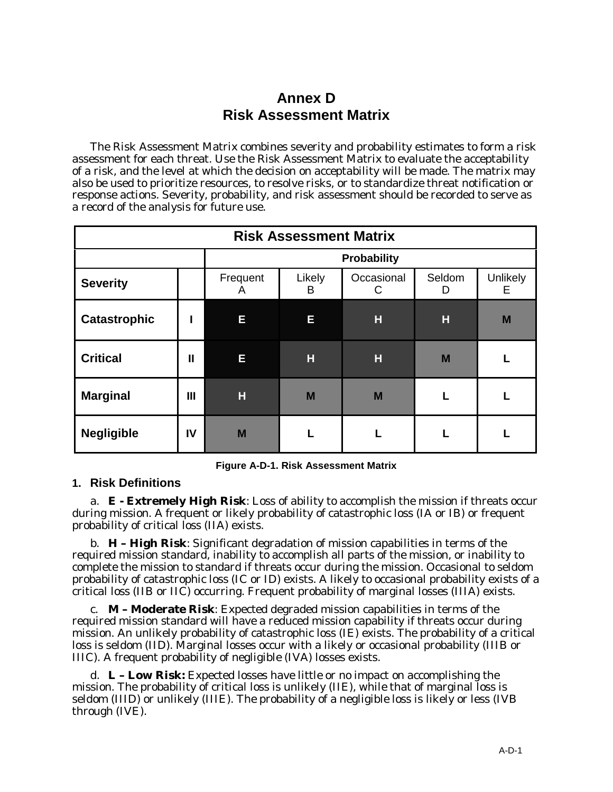# **Annex D Risk Assessment Matrix**

The Risk Assessment Matrix combines severity and probability estimates to form a risk assessment for each threat. Use the Risk Assessment Matrix to evaluate the acceptability of a risk, and the level at which the decision on acceptability will be made. The matrix may also be used to prioritize resources, to resolve risks, or to standardize threat notification or response actions. Severity, probability, and risk assessment should be recorded to serve as a record of the analysis for future use.

| <b>Risk Assessment Matrix</b> |    |                    |             |                 |             |               |
|-------------------------------|----|--------------------|-------------|-----------------|-------------|---------------|
|                               |    | <b>Probability</b> |             |                 |             |               |
| <b>Severity</b>               |    | Frequent<br>A      | Likely<br>B | Occasional<br>С | Seldom<br>D | Unlikely<br>Е |
| <b>Catastrophic</b>           |    | E                  | Е           | н               | Н           | M             |
| <b>Critical</b>               | Ш  | E                  | Н           | н               | M           |               |
| <b>Marginal</b>               | Ш  | H                  | M           | M               |             |               |
| <b>Negligible</b>             | IV | M                  |             |                 |             |               |

**Figure A-D-1. Risk Assessment Matrix**

# **1. Risk Definitions**

a. **E - Extremely High Risk**: Loss of ability to accomplish the mission if threats occur during mission. A frequent or likely probability of catastrophic loss (IA or IB) or frequent probability of critical loss (IIA) exists.

b. **H – High Risk**: Significant degradation of mission capabilities in terms of the required mission standard, inability to accomplish all parts of the mission, or inability to complete the mission to standard if threats occur during the mission. Occasional to seldom probability of catastrophic loss (IC or ID) exists. A likely to occasional probability exists of a critical loss (IIB or IIC) occurring. Frequent probability of marginal losses (IIIA) exists.

c. **M – Moderate Risk**: Expected degraded mission capabilities in terms of the required mission standard will have a reduced mission capability if threats occur during mission. An unlikely probability of catastrophic loss (IE) exists. The probability of a critical loss is seldom (IID). Marginal losses occur with a likely or occasional probability (IIIB or IIIC). A frequent probability of negligible (IVA) losses exists.

d. **L – Low Risk:** Expected losses have little or no impact on accomplishing the mission. The probability of critical loss is unlikely (IIE), while that of marginal loss is seldom (IIID) or unlikely (IIIE). The probability of a negligible loss is likely or less (IVB through (IVE).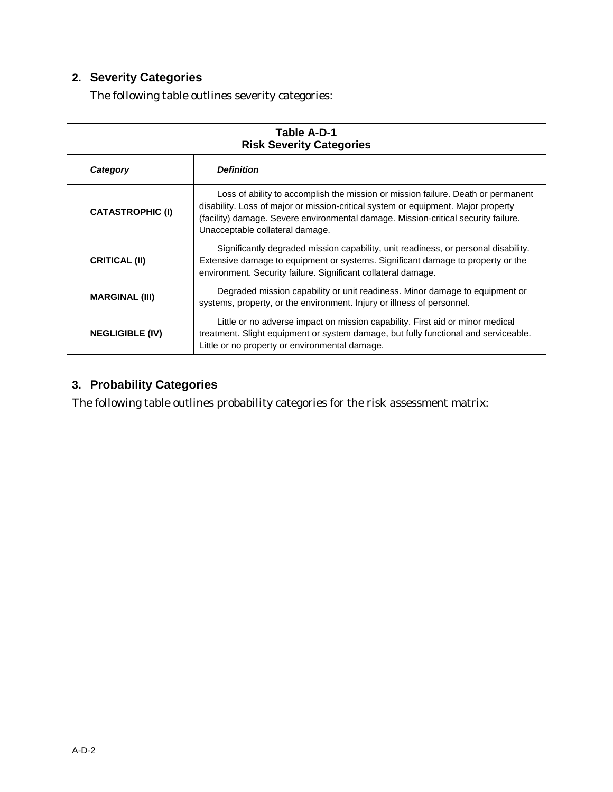# **2. Severity Categories**

The following table outlines severity categories:

| Table A-D-1<br><b>Risk Severity Categories</b> |                                                                                                                                                                                                                                                                                                |  |
|------------------------------------------------|------------------------------------------------------------------------------------------------------------------------------------------------------------------------------------------------------------------------------------------------------------------------------------------------|--|
| Category                                       | <b>Definition</b>                                                                                                                                                                                                                                                                              |  |
| <b>CATASTROPHIC (I)</b>                        | Loss of ability to accomplish the mission or mission failure. Death or permanent<br>disability. Loss of major or mission-critical system or equipment. Major property<br>(facility) damage. Severe environmental damage. Mission-critical security failure.<br>Unacceptable collateral damage. |  |
| <b>CRITICAL (II)</b>                           | Significantly degraded mission capability, unit readiness, or personal disability.<br>Extensive damage to equipment or systems. Significant damage to property or the<br>environment. Security failure. Significant collateral damage.                                                         |  |
| <b>MARGINAL (III)</b>                          | Degraded mission capability or unit readiness. Minor damage to equipment or<br>systems, property, or the environment. Injury or illness of personnel.                                                                                                                                          |  |
| <b>NEGLIGIBLE (IV)</b>                         | Little or no adverse impact on mission capability. First aid or minor medical<br>treatment. Slight equipment or system damage, but fully functional and serviceable.<br>Little or no property or environmental damage.                                                                         |  |

# **3. Probability Categories**

The following table outlines probability categories for the risk assessment matrix: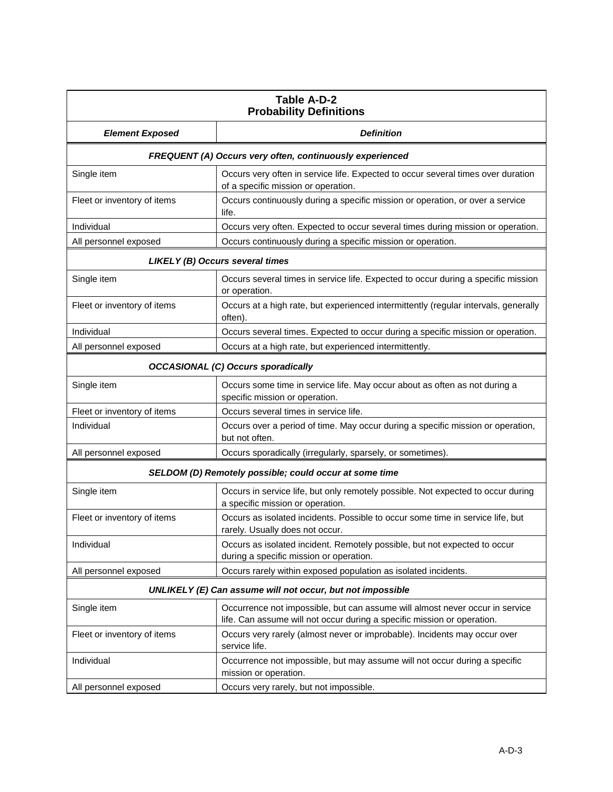| Table A-D-2<br><b>Probability Definitions</b>            |                                                                                                                                                         |  |
|----------------------------------------------------------|---------------------------------------------------------------------------------------------------------------------------------------------------------|--|
| <b>Element Exposed</b>                                   | <b>Definition</b>                                                                                                                                       |  |
| FREQUENT (A) Occurs very often, continuously experienced |                                                                                                                                                         |  |
| Single item                                              | Occurs very often in service life. Expected to occur several times over duration<br>of a specific mission or operation.                                 |  |
| Fleet or inventory of items                              | Occurs continuously during a specific mission or operation, or over a service<br>life.                                                                  |  |
| Individual                                               | Occurs very often. Expected to occur several times during mission or operation.                                                                         |  |
| All personnel exposed                                    | Occurs continuously during a specific mission or operation.                                                                                             |  |
|                                                          | LIKELY (B) Occurs several times                                                                                                                         |  |
| Single item                                              | Occurs several times in service life. Expected to occur during a specific mission<br>or operation.                                                      |  |
| Fleet or inventory of items                              | Occurs at a high rate, but experienced intermittently (regular intervals, generally<br>often).                                                          |  |
| Individual                                               | Occurs several times. Expected to occur during a specific mission or operation.                                                                         |  |
| All personnel exposed                                    | Occurs at a high rate, but experienced intermittently.                                                                                                  |  |
|                                                          | <b>OCCASIONAL (C) Occurs sporadically</b>                                                                                                               |  |
| Single item                                              | Occurs some time in service life. May occur about as often as not during a<br>specific mission or operation.                                            |  |
| Fleet or inventory of items                              | Occurs several times in service life.                                                                                                                   |  |
| Individual                                               | Occurs over a period of time. May occur during a specific mission or operation,<br>but not often.                                                       |  |
| All personnel exposed                                    | Occurs sporadically (irregularly, sparsely, or sometimes).                                                                                              |  |
|                                                          | SELDOM (D) Remotely possible; could occur at some time                                                                                                  |  |
| Single item                                              | Occurs in service life, but only remotely possible. Not expected to occur during<br>a specific mission or operation.                                    |  |
| Fleet or inventory of items                              | Occurs as isolated incidents. Possible to occur some time in service life, but<br>rarely. Usually does not occur.                                       |  |
| Individual                                               | Occurs as isolated incident. Remotely possible, but not expected to occur<br>during a specific mission or operation.                                    |  |
| All personnel exposed                                    | Occurs rarely within exposed population as isolated incidents.                                                                                          |  |
|                                                          | UNLIKELY (E) Can assume will not occur, but not impossible                                                                                              |  |
| Single item                                              | Occurrence not impossible, but can assume will almost never occur in service<br>life. Can assume will not occur during a specific mission or operation. |  |
| Fleet or inventory of items                              | Occurs very rarely (almost never or improbable). Incidents may occur over<br>service life.                                                              |  |
| Individual                                               | Occurrence not impossible, but may assume will not occur during a specific<br>mission or operation.                                                     |  |
| All personnel exposed                                    | Occurs very rarely, but not impossible.                                                                                                                 |  |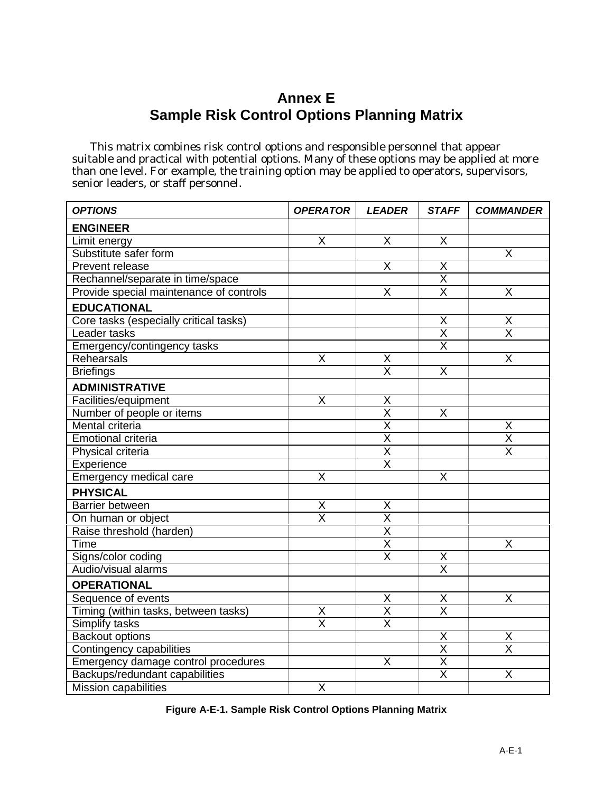# **Annex E Sample Risk Control Options Planning Matrix**

This matrix combines risk control options and responsible personnel that appear suitable and practical with potential options. Many of these options may be applied at more than one level. For example, the training option may be applied to operators, supervisors, senior leaders, or staff personnel.

| <b>OPTIONS</b>                          | <b>OPERATOR</b>         | <b>LEADER</b>           | <b>STAFF</b>            | <b>COMMANDER</b>        |
|-----------------------------------------|-------------------------|-------------------------|-------------------------|-------------------------|
| <b>ENGINEER</b>                         |                         |                         |                         |                         |
| Limit energy                            | X                       | X                       | X                       |                         |
| Substitute safer form                   |                         |                         |                         | X                       |
| Prevent release                         |                         | X                       | Χ                       |                         |
| Rechannel/separate in time/space        |                         |                         | X                       |                         |
| Provide special maintenance of controls |                         | $\overline{\mathsf{x}}$ | $\overline{\mathsf{x}}$ | $\overline{\mathsf{X}}$ |
| <b>EDUCATIONAL</b>                      |                         |                         |                         |                         |
| Core tasks (especially critical tasks)  |                         |                         | Χ                       | X                       |
| Leader tasks                            |                         |                         | $\overline{\sf x}$      | $\overline{\mathsf{x}}$ |
| Emergency/contingency tasks             |                         |                         | $\overline{\mathsf{x}}$ |                         |
| Rehearsals                              | X                       | X                       |                         | X                       |
| <b>Briefings</b>                        |                         | $\overline{\mathsf{x}}$ | $\overline{\mathsf{x}}$ |                         |
| <b>ADMINISTRATIVE</b>                   |                         |                         |                         |                         |
| Facilities/equipment                    | X                       | Χ                       |                         |                         |
| Number of people or items               |                         | $\overline{\mathsf{x}}$ | $\overline{\mathsf{X}}$ |                         |
| Mental criteria                         |                         | $\overline{\mathsf{x}}$ |                         | X                       |
| <b>Emotional criteria</b>               |                         | $\overline{\mathsf{X}}$ |                         | $\overline{\mathsf{X}}$ |
| Physical criteria                       |                         | $\overline{\mathsf{x}}$ |                         | $\overline{\mathsf{x}}$ |
| Experience                              |                         | $\overline{\mathsf{x}}$ |                         |                         |
| Emergency medical care                  | X                       |                         | X                       |                         |
| <b>PHYSICAL</b>                         |                         |                         |                         |                         |
| Barrier between                         | Χ                       | X                       |                         |                         |
| On human or object                      | $\overline{\mathsf{x}}$ | $\overline{\sf X}$      |                         |                         |
| Raise threshold (harden)                |                         | $\overline{\mathsf{x}}$ |                         |                         |
| Time                                    |                         | $\overline{\mathsf{x}}$ |                         | X                       |
| Signs/color coding                      |                         | $\overline{\mathsf{x}}$ | X                       |                         |
| Audio/visual alarms                     |                         |                         | $\overline{\sf x}$      |                         |
| <b>OPERATIONAL</b>                      |                         |                         |                         |                         |
| Sequence of events                      |                         | X                       | X                       | X                       |
| Timing (within tasks, between tasks)    | $\underline{X}$         | $\overline{\mathsf{X}}$ | $\overline{\mathsf{x}}$ |                         |
| Simplify tasks                          | $\overline{\mathsf{x}}$ | $\overline{\mathsf{x}}$ |                         |                         |
| <b>Backout options</b>                  |                         |                         | Χ                       | X                       |
| Contingency capabilities                |                         |                         | $\overline{\mathsf{x}}$ | $\overline{\mathsf{x}}$ |
| Emergency damage control procedures     |                         | X                       | $\overline{\mathsf{X}}$ |                         |
| Backups/redundant capabilities          |                         |                         | $\overline{\mathsf{x}}$ | X                       |
| <b>Mission capabilities</b>             | $\overline{\sf X}$      |                         |                         |                         |

**Figure A-E-1. Sample Risk Control Options Planning Matrix**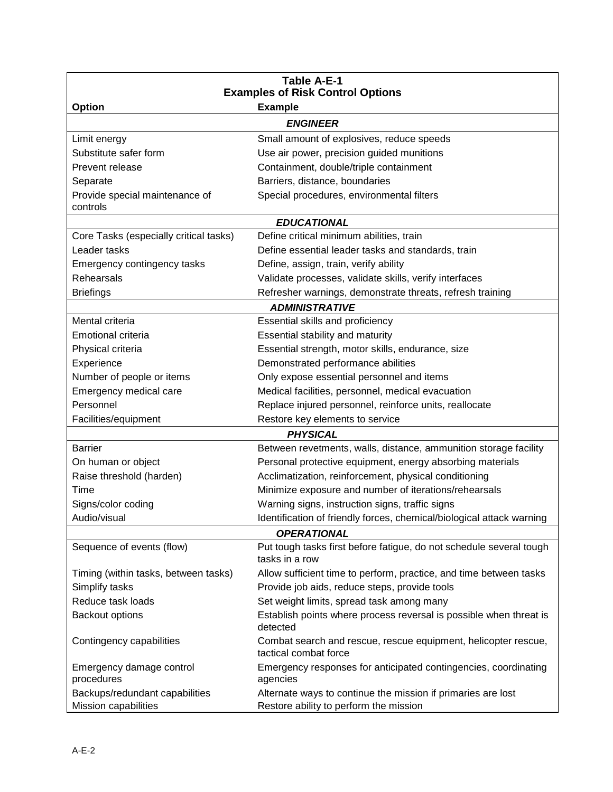| <b>Table A-E-1</b>                                                         |                                                                                         |  |  |
|----------------------------------------------------------------------------|-----------------------------------------------------------------------------------------|--|--|
| <b>Examples of Risk Control Options</b><br><b>Option</b><br><b>Example</b> |                                                                                         |  |  |
|                                                                            | <b>ENGINEER</b>                                                                         |  |  |
| Limit energy                                                               | Small amount of explosives, reduce speeds                                               |  |  |
| Substitute safer form                                                      | Use air power, precision guided munitions                                               |  |  |
| Prevent release                                                            | Containment, double/triple containment                                                  |  |  |
|                                                                            |                                                                                         |  |  |
| Separate                                                                   | Barriers, distance, boundaries                                                          |  |  |
| Provide special maintenance of<br>controls                                 | Special procedures, environmental filters                                               |  |  |
|                                                                            | <b>EDUCATIONAL</b>                                                                      |  |  |
| Core Tasks (especially critical tasks)                                     | Define critical minimum abilities, train                                                |  |  |
| Leader tasks                                                               | Define essential leader tasks and standards, train                                      |  |  |
| Emergency contingency tasks                                                | Define, assign, train, verify ability                                                   |  |  |
| Rehearsals                                                                 | Validate processes, validate skills, verify interfaces                                  |  |  |
| <b>Briefings</b>                                                           | Refresher warnings, demonstrate threats, refresh training                               |  |  |
|                                                                            | <b>ADMINISTRATIVE</b>                                                                   |  |  |
| Mental criteria                                                            | Essential skills and proficiency                                                        |  |  |
| Emotional criteria                                                         | Essential stability and maturity                                                        |  |  |
| Physical criteria                                                          | Essential strength, motor skills, endurance, size                                       |  |  |
| Experience                                                                 | Demonstrated performance abilities                                                      |  |  |
| Number of people or items                                                  | Only expose essential personnel and items                                               |  |  |
| Emergency medical care                                                     | Medical facilities, personnel, medical evacuation                                       |  |  |
| Personnel                                                                  | Replace injured personnel, reinforce units, reallocate                                  |  |  |
| Facilities/equipment                                                       | Restore key elements to service                                                         |  |  |
|                                                                            | <b>PHYSICAL</b>                                                                         |  |  |
| <b>Barrier</b>                                                             | Between revetments, walls, distance, ammunition storage facility                        |  |  |
| On human or object                                                         | Personal protective equipment, energy absorbing materials                               |  |  |
| Raise threshold (harden)                                                   | Acclimatization, reinforcement, physical conditioning                                   |  |  |
| Time                                                                       | Minimize exposure and number of iterations/rehearsals                                   |  |  |
| Signs/color coding                                                         | Warning signs, instruction signs, traffic signs                                         |  |  |
| Audio/visual                                                               | Identification of friendly forces, chemical/biological attack warning                   |  |  |
| <b>OPERATIONAL</b>                                                         |                                                                                         |  |  |
| Sequence of events (flow)                                                  | Put tough tasks first before fatigue, do not schedule several tough<br>tasks in a row   |  |  |
| Timing (within tasks, between tasks)                                       | Allow sufficient time to perform, practice, and time between tasks                      |  |  |
| Simplify tasks                                                             | Provide job aids, reduce steps, provide tools                                           |  |  |
| Reduce task loads                                                          | Set weight limits, spread task among many                                               |  |  |
| <b>Backout options</b>                                                     | Establish points where process reversal is possible when threat is<br>detected          |  |  |
| Contingency capabilities                                                   | Combat search and rescue, rescue equipment, helicopter rescue,<br>tactical combat force |  |  |
| Emergency damage control<br>procedures                                     | Emergency responses for anticipated contingencies, coordinating<br>agencies             |  |  |
| Backups/redundant capabilities                                             | Alternate ways to continue the mission if primaries are lost                            |  |  |
| Mission capabilities                                                       | Restore ability to perform the mission                                                  |  |  |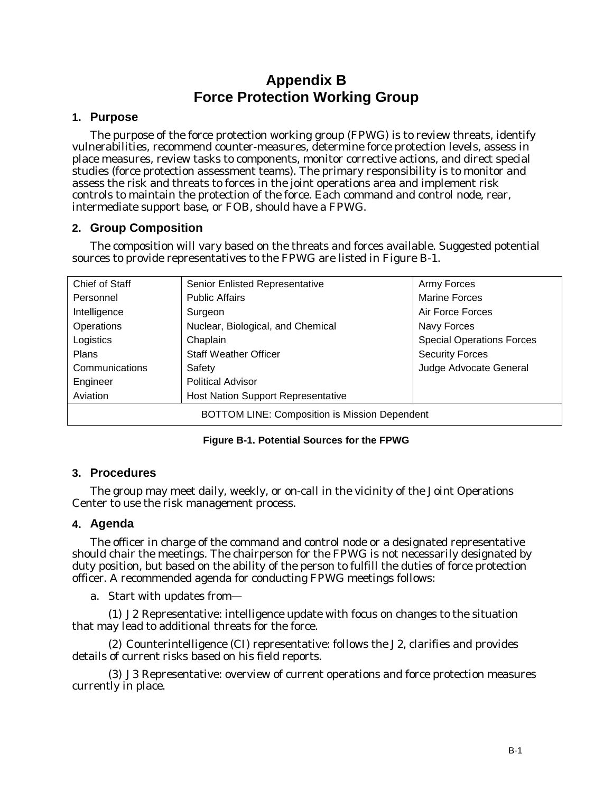# **Appendix B Force Protection Working Group**

#### **1. Purpose**

The purpose of the force protection working group (FPWG) is to review threats, identify vulnerabilities, recommend counter-measures, determine force protection levels, assess in place measures, review tasks to components, monitor corrective actions, and direct special studies (force protection assessment teams). The primary responsibility is to monitor and assess the risk and threats to forces in the joint operations area and implement risk controls to maintain the protection of the force. Each command and control node, rear, intermediate support base, or FOB, should have a FPWG.

#### **2. Group Composition**

The composition will vary based on the threats and forces available. Suggested potential sources to provide representatives to the FPWG are listed in Figure B-1.

| Chief of Staff                                       | Senior Enlisted Representative            | Army Forces                      |
|------------------------------------------------------|-------------------------------------------|----------------------------------|
| Personnel                                            | <b>Public Affairs</b>                     | <b>Marine Forces</b>             |
| Intelligence                                         | Surgeon                                   | Air Force Forces                 |
| Operations                                           | Nuclear, Biological, and Chemical         | Navy Forces                      |
| Logistics                                            | Chaplain                                  | <b>Special Operations Forces</b> |
| <b>Plans</b>                                         | <b>Staff Weather Officer</b>              | <b>Security Forces</b>           |
| Communications                                       | Safety                                    | Judge Advocate General           |
| Engineer                                             | <b>Political Advisor</b>                  |                                  |
| Aviation                                             | <b>Host Nation Support Representative</b> |                                  |
| <b>BOTTOM LINE: Composition is Mission Dependent</b> |                                           |                                  |

#### **Figure B-1. Potential Sources for the FPWG**

#### **3. Procedures**

The group may meet daily, weekly, or on-call in the vicinity of the Joint Operations Center to use the risk management process.

#### **4. Agenda**

The officer in charge of the command and control node or a designated representative should chair the meetings. The chairperson for the FPWG is not necessarily designated by duty position, but based on the ability of the person to fulfill the duties of force protection officer. A recommended agenda for conducting FPWG meetings follows:

a. Start with updates from—

(1) J2 Representative: intelligence update with focus on changes to the situation that may lead to additional threats for the force.

(2) Counterintelligence (CI) representative: follows the J2, clarifies and provides details of current risks based on his field reports.

(3) J3 Representative: overview of current operations and force protection measures currently in place.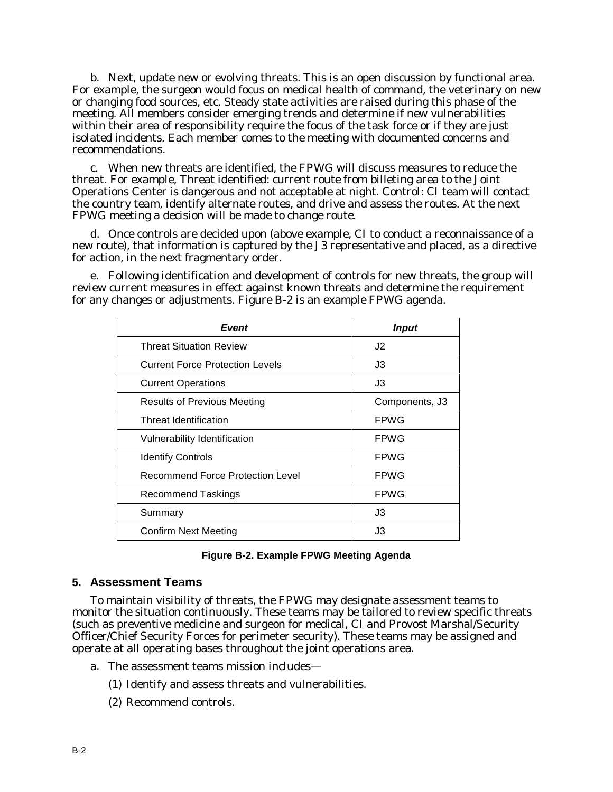b. Next, update new or evolving threats. This is an open discussion by functional area. For example, the surgeon would focus on medical health of command, the veterinary on new or changing food sources, etc. Steady state activities are raised during this phase of the meeting. All members consider emerging trends and determine if new vulnerabilities within their area of responsibility require the focus of the task force or if they are just isolated incidents. Each member comes to the meeting with documented concerns and recommendations.

c. When new threats are identified, the FPWG will discuss measures to reduce the threat. For example, Threat identified: current route from billeting area to the Joint Operations Center is dangerous and not acceptable at night. Control: CI team will contact the country team, identify alternate routes, and drive and assess the routes. At the next FPWG meeting a decision will be made to change route.

d. Once controls are decided upon (above example, CI to conduct a reconnaissance of a new route), that information is captured by the J3 representative and placed, as a directive for action, in the next fragmentary order.

e. Following identification and development of controls for new threats, the group will review current measures in effect against known threats and determine the requirement for any changes or adjustments. Figure B-2 is an example FPWG agenda.

| Event                                  | <b>Input</b>   |
|----------------------------------------|----------------|
| <b>Threat Situation Review</b>         | J2             |
| <b>Current Force Protection Levels</b> | J3             |
| <b>Current Operations</b>              | J3             |
| <b>Results of Previous Meeting</b>     | Components, J3 |
| Threat Identification                  | <b>FPWG</b>    |
| Vulnerability Identification           | <b>FPWG</b>    |
| <b>Identify Controls</b>               | <b>FPWG</b>    |
| Recommend Force Protection Level       | <b>FPWG</b>    |
| <b>Recommend Taskings</b>              | <b>FPWG</b>    |
| Summary                                | J3             |
| <b>Confirm Next Meeting</b>            | J3             |

#### **Figure B-2. Example FPWG Meeting Agenda**

#### **5. Assessment Te**a**ms**

To maintain visibility of threats, the FPWG may designate assessment teams to monitor the situation continuously. These teams may be tailored to review specific threats (such as preventive medicine and surgeon for medical, CI and Provost Marshal/Security Officer/Chief Security Forces for perimeter security). These teams may be assigned and operate at all operating bases throughout the joint operations area.

- a. The assessment teams mission includes—
	- (1) Identify and assess threats and vulnerabilities.
	- (2) Recommend controls.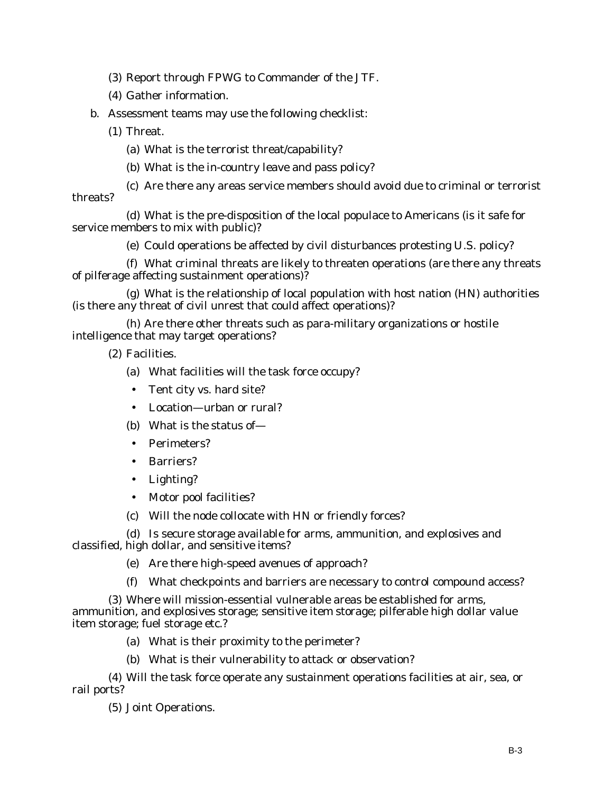(3) Report through FPWG to Commander of the JTF.

(4) Gather information.

b. Assessment teams may use the following checklist:

(1) Threat.

(a) What is the terrorist threat/capability?

(b) What is the in-country leave and pass policy?

(c) Are there any areas service members should avoid due to criminal or terrorist threats?

(d) What is the pre-disposition of the local populace to Americans (is it safe for service members to mix with public)?

(e) Could operations be affected by civil disturbances protesting U.S. policy?

(f) What criminal threats are likely to threaten operations (are there any threats of pilferage affecting sustainment operations)?

(g) What is the relationship of local population with host nation (HN) authorities (is there any threat of civil unrest that could affect operations)?

(h) Are there other threats such as para-military organizations or hostile intelligence that may target operations?

(2) Facilities.

(a) What facilities will the task force occupy?

• Tent city vs. hard site?

• Location—urban or rural?

(b) What is the status of—

• Perimeters?

- Barriers?
- Lighting?
- Motor pool facilities?

(c) Will the node collocate with HN or friendly forces?

(d) Is secure storage available for arms, ammunition, and explosives and classified, high dollar, and sensitive items?

(e) Are there high-speed avenues of approach?

(f) What checkpoints and barriers are necessary to control compound access?

(3) Where will mission-essential vulnerable areas be established for arms, ammunition, and explosives storage; sensitive item storage; pilferable high dollar value item storage; fuel storage etc.?

- (a) What is their proximity to the perimeter?
- (b) What is their vulnerability to attack or observation?

(4) Will the task force operate any sustainment operations facilities at air, sea, or rail ports?

(5) Joint Operations.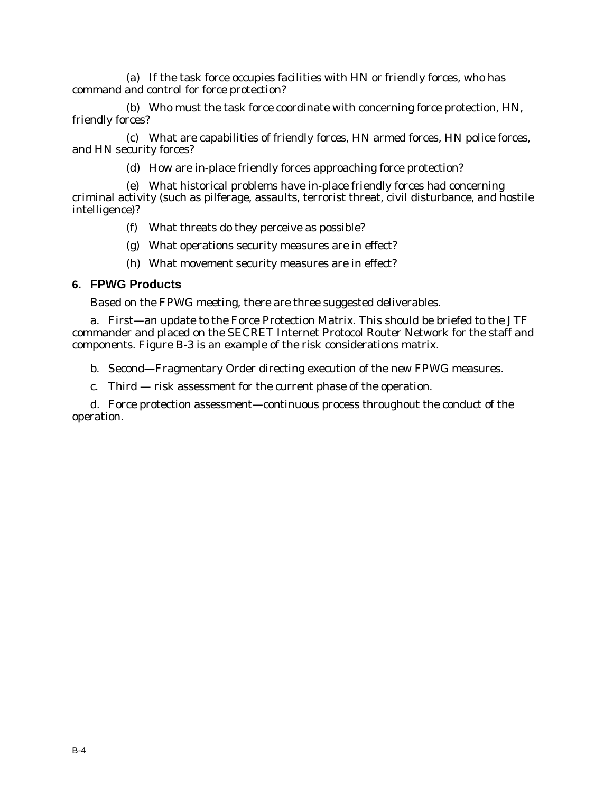(a) If the task force occupies facilities with HN or friendly forces, who has command and control for force protection?

(b) Who must the task force coordinate with concerning force protection, HN, friendly forces?

(c) What are capabilities of friendly forces, HN armed forces, HN police forces, and HN security forces?

(d) How are in-place friendly forces approaching force protection?

(e) What historical problems have in-place friendly forces had concerning criminal activity (such as pilferage, assaults, terrorist threat, civil disturbance, and hostile intelligence)?

- (f) What threats do they perceive as possible?
- (g) What operations security measures are in effect?
- (h) What movement security measures are in effect?

#### **6. FPWG Products**

Based on the FPWG meeting, there are three suggested deliverables.

a. First—an update to the Force Protection Matrix. This should be briefed to the JTF commander and placed on the SECRET Internet Protocol Router Network for the staff and components. Figure B-3 is an example of the risk considerations matrix.

b. Second—Fragmentary Order directing execution of the new FPWG measures.

c. Third — risk assessment for the current phase of the operation.

d. Force protection assessment—continuous process throughout the conduct of the operation.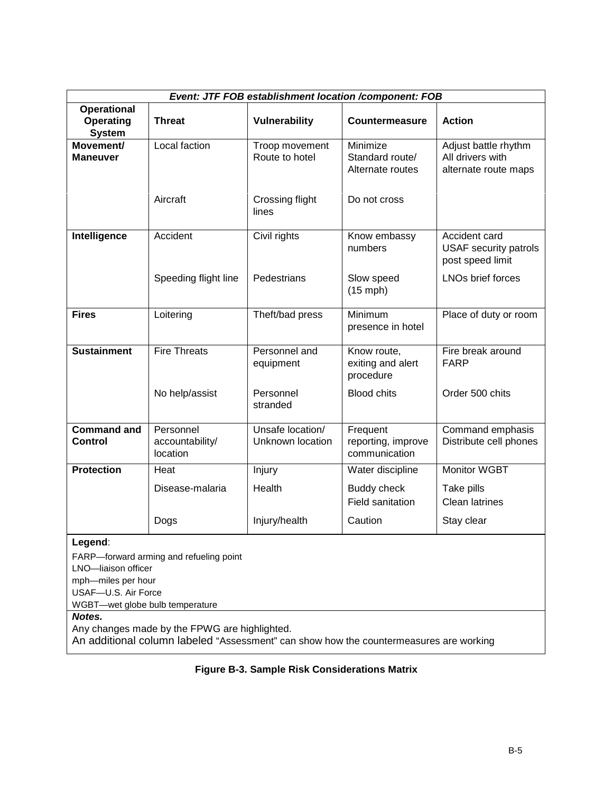|                                                  |                                          |                                      | Event: JTF FOB establishment location /component: FOB |                                                                   |
|--------------------------------------------------|------------------------------------------|--------------------------------------|-------------------------------------------------------|-------------------------------------------------------------------|
| <b>Operational</b><br>Operating<br><b>System</b> | <b>Threat</b>                            | <b>Vulnerability</b>                 | <b>Countermeasure</b>                                 | <b>Action</b>                                                     |
| Movement/<br><b>Maneuver</b>                     | Local faction                            | Troop movement<br>Route to hotel     | Minimize<br>Standard route/<br>Alternate routes       | Adjust battle rhythm<br>All drivers with<br>alternate route maps  |
|                                                  | Aircraft                                 | Crossing flight<br>lines             | Do not cross                                          |                                                                   |
| Intelligence                                     | Accident                                 | Civil rights                         | Know embassy<br>numbers                               | Accident card<br><b>USAF security patrols</b><br>post speed limit |
|                                                  | Speeding flight line                     | Pedestrians                          | Slow speed<br>$(15$ mph)                              | LNOs brief forces                                                 |
| <b>Fires</b>                                     | Loitering                                | Theft/bad press                      | Minimum<br>presence in hotel                          | Place of duty or room                                             |
| <b>Sustainment</b>                               | <b>Fire Threats</b>                      | Personnel and<br>equipment           | Know route,<br>exiting and alert<br>procedure         | Fire break around<br><b>FARP</b>                                  |
|                                                  | No help/assist                           | Personnel<br>stranded                | <b>Blood chits</b>                                    | Order 500 chits                                                   |
| <b>Command and</b><br>Control                    | Personnel<br>accountability/<br>location | Unsafe location/<br>Unknown location | Frequent<br>reporting, improve<br>communication       | Command emphasis<br>Distribute cell phones                        |
| <b>Protection</b>                                | Heat                                     | Injury                               | Water discipline                                      | Monitor WGBT                                                      |
|                                                  | Disease-malaria                          | Health                               | Buddy check                                           | Take pills                                                        |
|                                                  |                                          |                                      | Field sanitation                                      | <b>Clean latrines</b>                                             |
|                                                  | Dogs                                     | Injury/health                        | Caution                                               | Stay clear                                                        |
|                                                  |                                          |                                      |                                                       |                                                                   |

#### **Legend**:

FARP—forward arming and refueling point

LNO—liaison officer

mph—miles per hour

USAF—U.S. Air Force

WGBT—wet globe bulb temperature

# *Notes.*

Any changes made by the FPWG are highlighted.

An additional column labeled "Assessment" can show how the countermeasures are working

#### **Figure B-3. Sample Risk Considerations Matrix**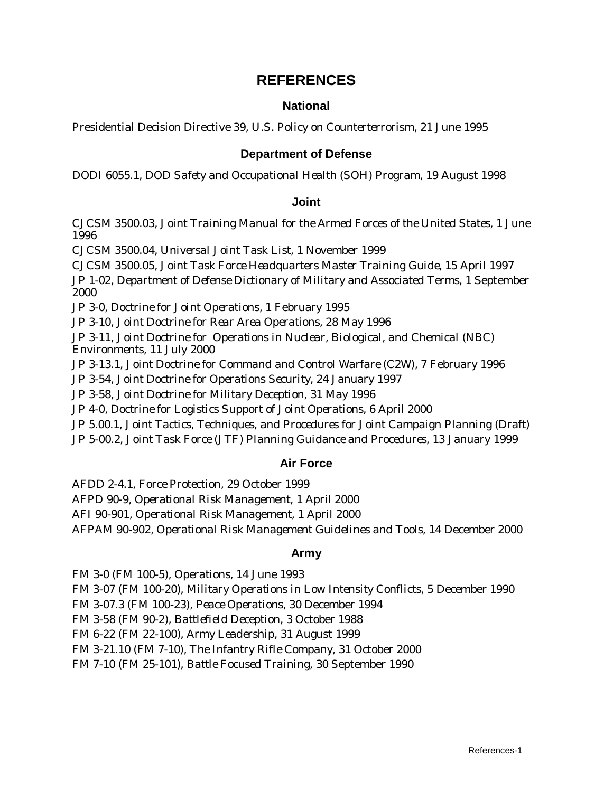# **REFERENCES**

#### **National**

Presidential Decision Directive 39, *U.S. Policy on Counterterrorism,* 21 June 1995

#### **Department of Defense**

DODI 6055.1, *DOD Safety and Occupational Health (SOH) Program,* 19 August 1998

#### **Joint**

CJCSM 3500.03, *Joint Training Manual for the Armed Forces of the United States*, 1 June 1996

CJCSM 3500.04, *Universal Joint Task List*, 1 November 1999

CJCSM 3500.05, *Joint Task Force Headquarters Master Training Guide,* 15 April 1997 JP 1-02, *Department of Defense Dictionary of Military and Associated Terms*, 1 September 2000

JP 3-0, *Doctrine for Joint Oper*ati*ons*, 1 February 1995

JP 3-10, *Joint Doctrine for Rear Area Operations*, 28 May 1996

JP 3-11, *Joint Doctrine for Operations in Nuclear, Biological, and Chemical (NBC) Environments,* 11 July 2000

JP 3-13.1*, Joint Doctrine for Command and Control Warfare (C2W),* 7 February 1996

JP 3-54, *Joint Doctrine for Operations Security*, 24 January 1997

JP 3-58, *Joint Doctrine for Military Deception,* 31 May 1996

JP 4-0*, Doctrine for Logistics Support of Joint Operations*, 6 April 2000

JP 5.00.1, *Joint Tactics, Techniques, and Procedures for Joint Campaign Planning (Draft*)

JP 5-00.2, *Joint Task Force (JTF) Planning Guidance and Procedures*, 13 January 1999

#### **Air Force**

AFDD 2-4.1, *Force Protection*, 29 October 1999 AFPD 90-9, *Operational Risk Management*, 1 April 2000 AFI 90-901, *Operational Risk Mana*ge*ment*, 1 April 2000 AFPAM 90-902, *Operational Risk Management Guidelines and Tools,* 14 December 2000

#### **Army**

FM 3-0 (FM 100-5), *Operations*, 14 June 1993 FM 3-07 (FM 100-20), *Military Operations in Low Intensity Conflicts,* 5 December 1990 FM 3-07.3 (FM 100-23), *Peace Operations*, 30 December 1994 FM 3-58 (FM 90-2), *Battlefield Deception*, 3 October 1988 FM 6-22 (FM 22-100), *Army Leadership,* 31 August 1999 FM 3-21.10 (FM 7-10), *The Infantry Rifle Company*, 31 October 2000 FM 7-10 (FM 25-101), *Battle Focused Training,* 30 September 1990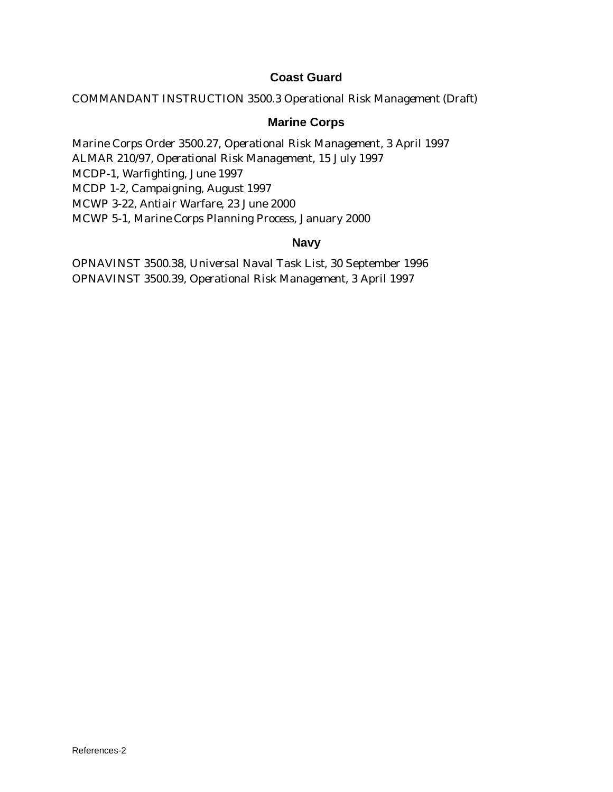# **Coast Guard**

COMMANDANT INSTRUCTION 3500.3 *Operational Risk Management (Draft*)

#### **Marine Corps**

Marine Corps Order 3500.27, *Operational Risk Manageme*nt, 3 April 1997 ALMAR 210/97, *Operational Risk Management*, 15 July 1997 MCDP-1, *Warfighting,* June 1997 MCDP 1-2, *Campaigning,* August 1997 MCWP 3-22, *Antiair Warfare,* 23 June 2000 MCWP 5-1, *Marine Corps Plannin*g *Process,* January 2000

#### **Navy**

OPNAVINST 3500.38, *Universal Naval Task List*, 30 September 1996 OPNAVINST 3500.39, *Operational Risk Management*, 3 April 1997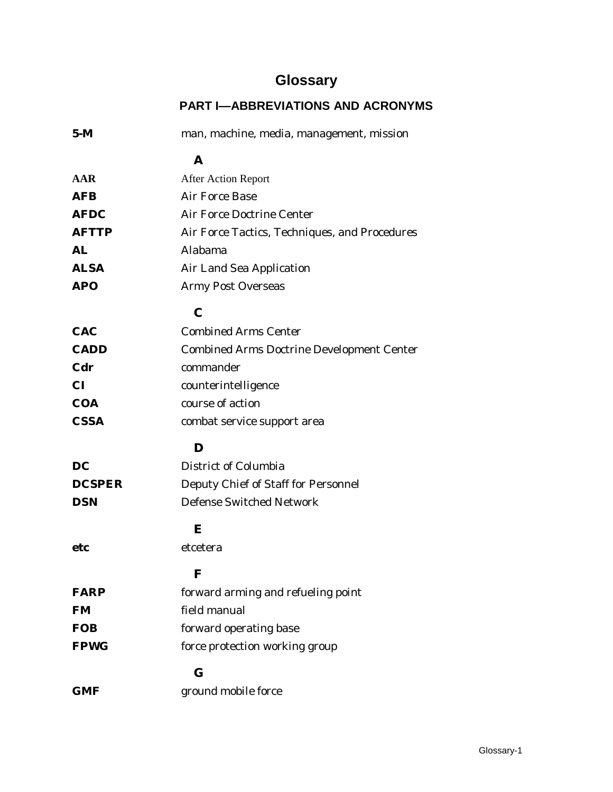# **Glossary**

# **PART I—ABBREVIATIONS AND ACRONYMS**

| $5-M$         | man, machine, media, management, mission         |  |
|---------------|--------------------------------------------------|--|
|               | A                                                |  |
| AAR           | <b>After Action Report</b>                       |  |
| <b>AFB</b>    | Air Force Base                                   |  |
| <b>AFDC</b>   | Air Force Doctrine Center                        |  |
| <b>AFTTP</b>  | Air Force Tactics, Techniques, and Procedures    |  |
| AL            | Alabama                                          |  |
| <b>ALSA</b>   | Air Land Sea Application                         |  |
| <b>APO</b>    | <b>Army Post Overseas</b>                        |  |
|               | $\mathbf C$                                      |  |
| <b>CAC</b>    | <b>Combined Arms Center</b>                      |  |
| <b>CADD</b>   | <b>Combined Arms Doctrine Development Center</b> |  |
| Cdr           | commander                                        |  |
| <b>CI</b>     | counterintelligence                              |  |
| <b>COA</b>    | course of action                                 |  |
| <b>CSSA</b>   | combat service support area                      |  |
|               | D                                                |  |
|               |                                                  |  |
| DC            | District of Columbia                             |  |
| <b>DCSPER</b> | Deputy Chief of Staff for Personnel              |  |
| <b>DSN</b>    | <b>Defense Switched Network</b>                  |  |
|               | E                                                |  |
| etc           | etcetera                                         |  |
|               | $\mathbf F$                                      |  |
| <b>FARP</b>   | forward arming and refueling point               |  |
| <b>FM</b>     | field manual                                     |  |
| <b>FOB</b>    | forward operating base                           |  |
| <b>FPWG</b>   | force protection working group                   |  |
|               | $\bf G$                                          |  |
| GMF           | ground mobile force                              |  |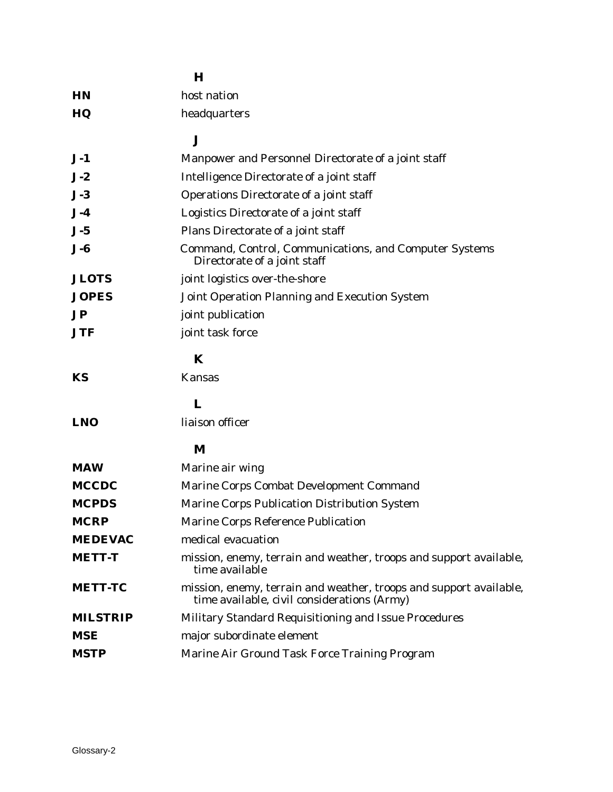|                         | $\bf H$                                                                                                           |
|-------------------------|-------------------------------------------------------------------------------------------------------------------|
| <b>HN</b>               | host nation                                                                                                       |
| HQ                      | headquarters                                                                                                      |
|                         | $\bf J$                                                                                                           |
| $J-1$                   | Manpower and Personnel Directorate of a joint staff                                                               |
| $J-2$                   | Intelligence Directorate of a joint staff                                                                         |
| $J-3$                   | Operations Directorate of a joint staff                                                                           |
| $J-4$                   | Logistics Directorate of a joint staff                                                                            |
| $J-5$                   | Plans Directorate of a joint staff                                                                                |
| $J - 6$                 | Command, Control, Communications, and Computer Systems<br>Directorate of a joint staff                            |
| <b>JLOTS</b>            | joint logistics over-the-shore                                                                                    |
| <b>JOPES</b>            | Joint Operation Planning and Execution System                                                                     |
| $\mathbf{J} \mathbf{P}$ | joint publication                                                                                                 |
| <b>JTF</b>              | joint task force                                                                                                  |
|                         | K                                                                                                                 |
| KS                      | <b>Kansas</b>                                                                                                     |
|                         | L                                                                                                                 |
| <b>LNO</b>              | liaison officer                                                                                                   |
|                         | M                                                                                                                 |
| <b>MAW</b>              | Marine air wing                                                                                                   |
| <b>MCCDC</b>            | Marine Corps Combat Development Command                                                                           |
| <b>MCPDS</b>            | Marine Corps Publication Distribution System                                                                      |
| <b>MCRP</b>             | Marine Corps Reference Publication                                                                                |
| <b>MEDEVAC</b>          | medical evacuation                                                                                                |
| <b>METT-T</b>           | mission, enemy, terrain and weather, troops and support available,<br>time available                              |
| <b>METT-TC</b>          | mission, enemy, terrain and weather, troops and support available,<br>time available, civil considerations (Army) |
| <b>MILSTRIP</b>         | Military Standard Requisitioning and Issue Procedures                                                             |
| <b>MSE</b>              | major subordinate element                                                                                         |
| <b>MSTP</b>             | Marine Air Ground Task Force Training Program                                                                     |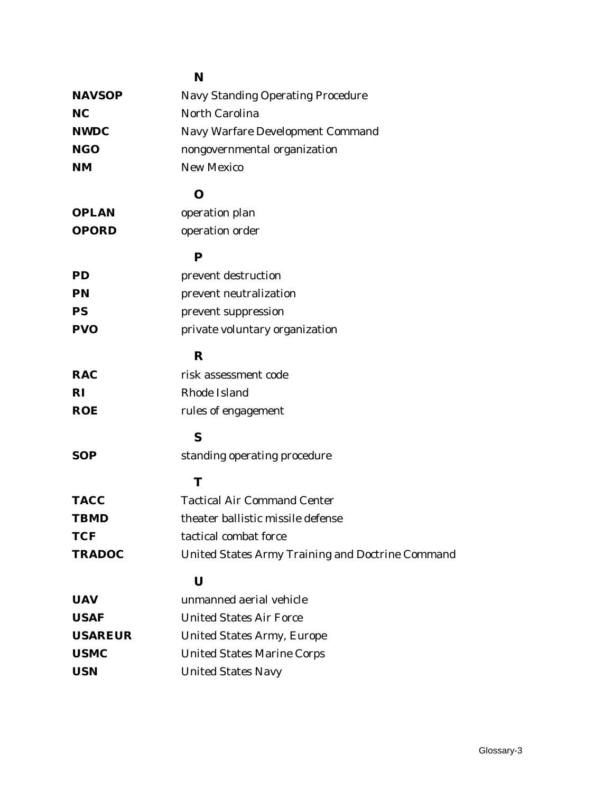|                | N                                                |
|----------------|--------------------------------------------------|
| <b>NAVSOP</b>  | <b>Navy Standing Operating Procedure</b>         |
| NC             | North Carolina                                   |
| <b>NWDC</b>    | Navy Warfare Development Command                 |
| NGO            | nongovernmental organization                     |
| NM             | <b>New Mexico</b>                                |
|                | $\mathbf 0$                                      |
| <b>OPLAN</b>   | operation plan                                   |
| <b>OPORD</b>   | operation order                                  |
|                | ${\bf P}$                                        |
| ${\bf PD}$     | prevent destruction                              |
| ${\bf PN}$     | prevent neutralization                           |
| PS             | prevent suppression                              |
| <b>PVO</b>     | private voluntary organization                   |
|                | $\bf R$                                          |
| <b>RAC</b>     | risk assessment code                             |
| RI             | Rhode Island                                     |
| <b>ROE</b>     | rules of engagement                              |
|                | S                                                |
| SOP            | standing operating procedure                     |
|                | T                                                |
| <b>TACC</b>    | <b>Tactical Air Command Center</b>               |
| <b>TBMD</b>    | theater ballistic missile defense                |
| <b>TCF</b>     | tactical combat force                            |
| <b>TRADOC</b>  | United States Army Training and Doctrine Command |
|                | $\mathbf U$                                      |
| UAV            | unmanned aerial vehicle                          |
| <b>USAF</b>    | <b>United States Air Force</b>                   |
| <b>USAREUR</b> | <b>United States Army, Europe</b>                |
| <b>USMC</b>    | <b>United States Marine Corps</b>                |
| USN            | <b>United States Navy</b>                        |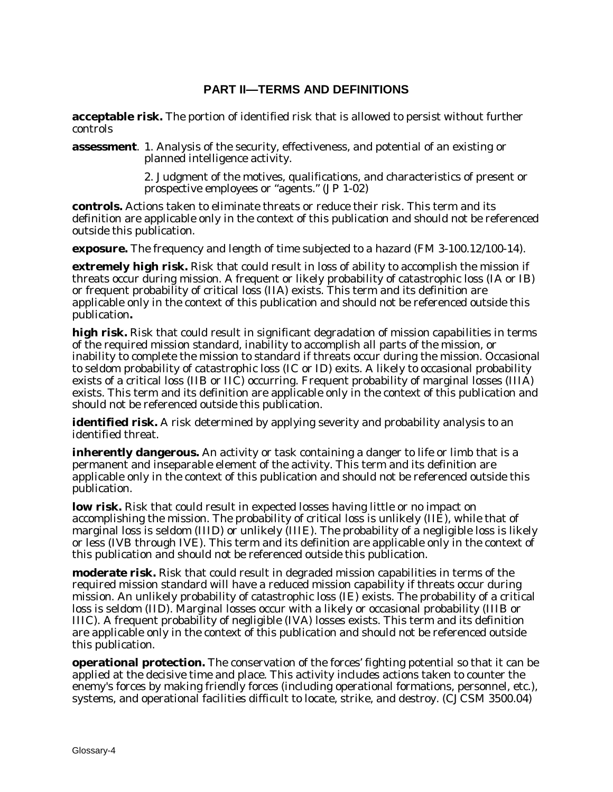# **PART II—TERMS AND DEFINITIONS**

**acceptable risk.** The portion of identified risk that is allowed to persist without further controls

**assessment**. 1. Analysis of the security, effectiveness, and potential of an existing or planned intelligence activity.

> 2. Judgment of the motives, qualifications, and characteristics of present or prospective employees or "agents." (JP 1-02)

**controls.** Actions taken to eliminate threats or reduce their risk. This term and its definition are applicable only in the context of this publication and should not be referenced outside this publication.

**exposure.** The frequency and length of time subjected to a hazard (FM 3-100.12/100-14).

**extremely high risk.** Risk that could result in loss of ability to accomplish the mission if threats occur during mission. A frequent or likely probability of catastrophic loss (IA or IB) or frequent probability of critical loss (IIA) exists. This term and its definition are applicable only in the context of this publication and should not be referenced outside this publication**.**

**high risk.** Risk that could result in significant degradation of mission capabilities in terms of the required mission standard, inability to accomplish all parts of the mission, or inability to complete the mission to standard if threats occur during the mission. Occasional to seldom probability of catastrophic loss (IC or ID) exits. A likely to occasional probability exists of a critical loss (IIB or IIC) occurring. Frequent probability of marginal losses (IIIA) exists. This term and its definition are applicable only in the context of this publication and should not be referenced outside this publication.

identified risk. A risk determined by applying severity and probability analysis to an identified threat.

**inherently dangerous.** An activity or task containing a danger to life or limb that is a permanent and inseparable element of the activity. This term and its definition are applicable only in the context of this publication and should not be referenced outside this publication.

**low risk.** Risk that could result in expected losses having little or no impact on accomplishing the mission. The probability of critical loss is unlikely (IIE), while that of marginal loss is seldom (IIID) or unlikely (IIIE). The probability of a negligible loss is likely or less (IVB through IVE). This term and its definition are applicable only in the context of this publication and should not be referenced outside this publication.

**moderate risk.** Risk that could result in degraded mission capabilities in terms of the required mission standard will have a reduced mission capability if threats occur during mission. An unlikely probability of catastrophic loss (IE) exists. The probability of a critical loss is seldom (IID). Marginal losses occur with a likely or occasional probability (IIIB or IIIC). A frequent probability of negligible (IVA) losses exists. This term and its definition are applicable only in the context of this publication and should not be referenced outside this publication.

**operational protection.** The conservation of the forces' fighting potential so that it can be applied at the decisive time and place. This activity includes actions taken to counter the enemy's forces by making friendly forces (including operational formations, personnel, etc.), systems, and operational facilities difficult to locate, strike, and destroy. (CJCSM 3500.04)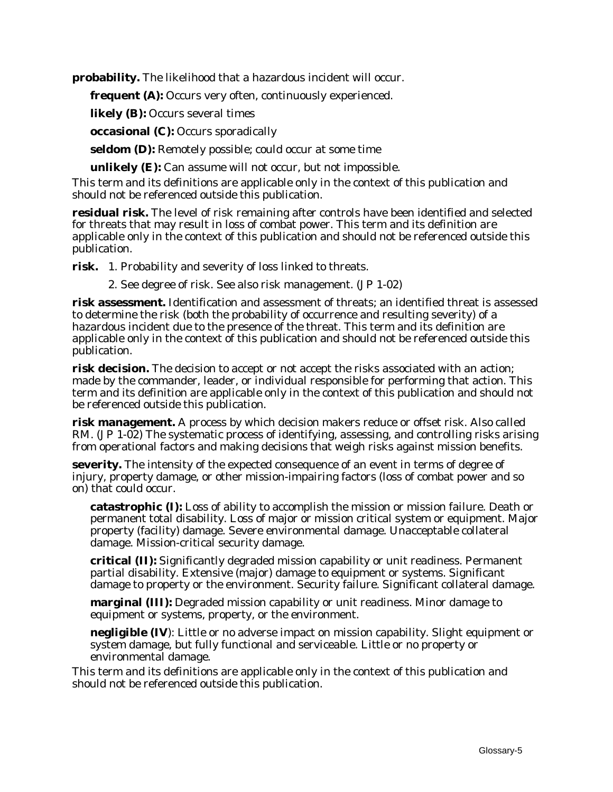**probability.** The likelihood that a hazardous incident will occur.

**frequent (A):** Occurs very often, continuously experienced.

**likely (B):** Occurs several times

**occasional (C):** Occurs sporadically

**seldom (D):** Remotely possible; could occur at some time

**unlikely (E):** Can assume will not occur, but not impossible.

This term and its definitions are applicable only in the context of this publication and should not be referenced outside this publication.

**residual risk.** The level of risk remaining after controls have been identified and selected for threats that may result in loss of combat power. This term and its definition are applicable only in the context of this publication and should not be referenced outside this publication.

**risk.** 1. Probability and severity of loss linked to threats.

2. See degree of risk. See also risk management. (JP 1-02)

**risk assessment.** Identification and assessment of threats; an identified threat is assessed to determine the risk (both the probability of occurrence and resulting severity) of a hazardous incident due to the presence of the threat. This term and its definition are applicable only in the context of this publication and should not be referenced outside this publication.

**risk decision.** The decision to accept or not accept the risks associated with an action; made by the commander, leader, or individual responsible for performing that action. This term and its definition are applicable only in the context of this publication and should not be referenced outside this publication.

**risk management.** A process by which decision makers reduce or offset risk. Also called RM. (JP 1-02) The systematic process of identifying, assessing, and controlling risks arising from operational factors and making decisions that weigh risks against mission benefits.

**severity.** The intensity of the expected consequence of an event in terms of degree of injury, property damage, or other mission-impairing factors (loss of combat power and so on) that could occur.

**catastrophic (I):** Loss of ability to accomplish the mission or mission failure. Death or permanent total disability. Loss of major or mission critical system or equipment. Major property (facility) damage. Severe environmental damage. Unacceptable collateral damage. Mission-critical security damage.

**critical (II):** Significantly degraded mission capability or unit readiness. Permanent partial disability. Extensive (major) damage to equipment or systems. Significant damage to property or the environment. Security failure. Significant collateral damage.

**marginal (III):** Degraded mission capability or unit readiness. Minor damage to equipment or systems, property, or the environment.

**negligible (IV)**: Little or no adverse impact on mission capability. Slight equipment or system damage, but fully functional and serviceable. Little or no property or environmental damage.

This term and its definitions are applicable only in the context of this publication and should not be referenced outside this publication.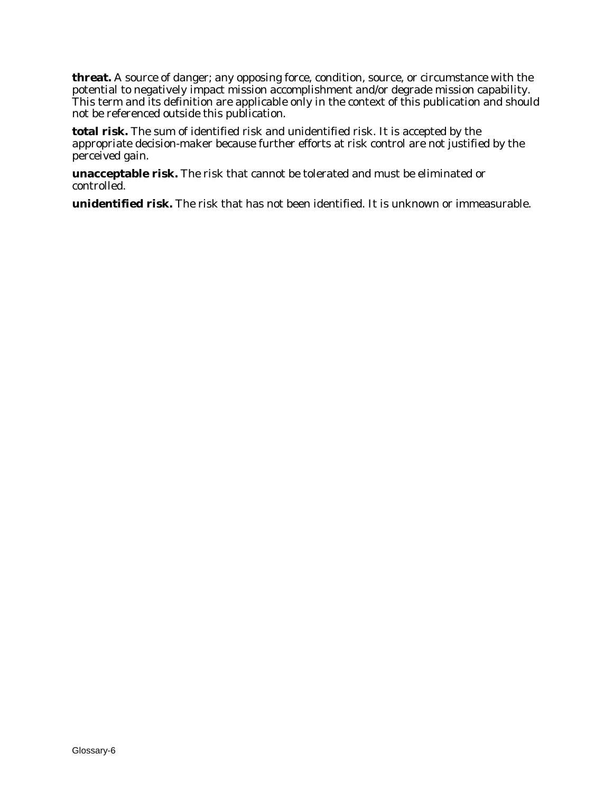**threat.** A source of danger; any opposing force, condition, source, or circumstance with the potential to negatively impact mission accomplishment and/or degrade mission capability. This term and its definition are applicable only in the context of this publication and should not be referenced outside this publication.

**total risk.** The sum of identified risk and unidentified risk. It is accepted by the appropriate decision-maker because further efforts at risk control are not justified by the perceived gain.

**unacceptable risk.** The risk that cannot be tolerated and must be eliminated or controlled.

**unidentified risk.** The risk that has not been identified. It is unknown or immeasurable.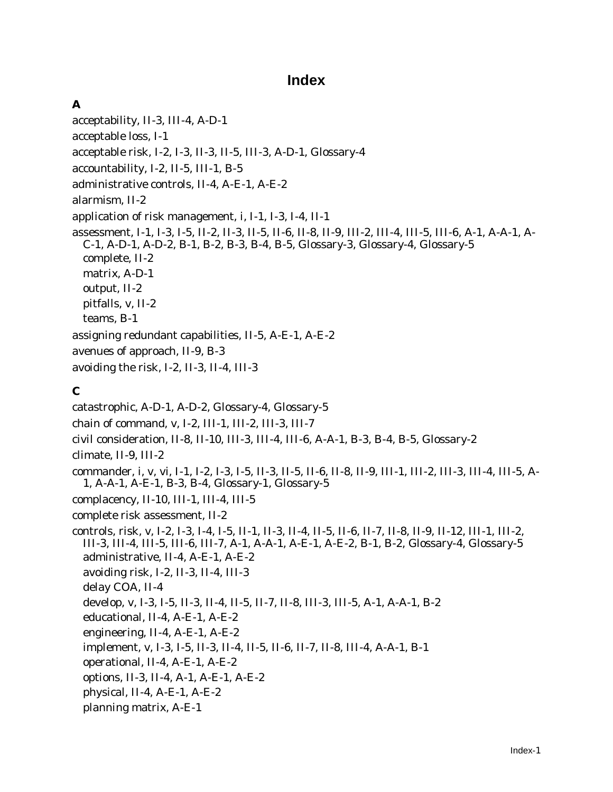# **Index**

# **A**

acceptability, II-3, III-4, A-D-1 acceptable loss, I-1 acceptable risk, I-2, I-3, II-3, II-5, III-3, A-D-1, Glossary-4 accountability, I-2, II-5, III-1, B-5 administrative controls, II-4, A-E-1, A-E-2 alarmism, II-2 application of risk management, i, I-1, I-3, I-4, II-1 assessment, I-1, I-3, I-5, II-2, II-3, II-5, II-6, II-8, II-9, III-2, III-4, III-5, III-6, A-1, A-A-1, A-C-1, A-D-1, A-D-2, B-1, B-2, B-3, B-4, B-5, Glossary-3, Glossary-4, Glossary-5 complete, II-2 matrix, A-D-1 output, II-2 pitfalls, v, II-2 teams, B-1 assigning redundant capabilities, II-5, A-E-1, A-E-2 avenues of approach, II-9, B-3 avoiding the risk, I-2, II-3, II-4, III-3

# **C**

catastrophic, A-D-1, A-D-2, Glossary-4, Glossary-5 chain of command, v, I-2, III-1, III-2, III-3, III-7 civil consideration, II-8, II-10, III-3, III-4, III-6, A-A-1, B-3, B-4, B-5, Glossary-2 climate, II-9, III-2 commander, i, v, vi, I-1, I-2, I-3, I-5, II-3, II-5, II-6, II-8, II-9, III-1, III-2, III-3, III-4, III-5, A-1, A-A-1, A-E-1, B-3, B-4, Glossary-1, Glossary-5 complacency, II-10, III-1, III-4, III-5 complete risk assessment, II-2 controls, risk, v, I-2, I-3, I-4, I-5, II-1, II-3, II-4, II-5, II-6, II-7, II-8, II-9, II-12, III-1, III-2, III-3, III-4, III-5, III-6, III-7, A-1, A-A-1, A-E-1, A-E-2, B-1, B-2, Glossary-4, Glossary-5 administrative, II-4, A-E-1, A-E-2 avoiding risk, I-2, II-3, II-4, III-3 delay COA, II-4 develop, v, I-3, I-5, II-3, II-4, II-5, II-7, II-8, III-3, III-5, A-1, A-A-1, B-2 educational, II-4, A-E-1, A-E-2 engineering, II-4, A-E-1, A-E-2 implement, v, I-3, I-5, II-3, II-4, II-5, II-6, II-7, II-8, III-4, A-A-1, B-1 operational, II-4, A-E-1, A-E-2 options, II-3, II-4, A-1, A-E-1, A-E-2 physical, II-4, A-E-1, A-E-2 planning matrix, A-E-1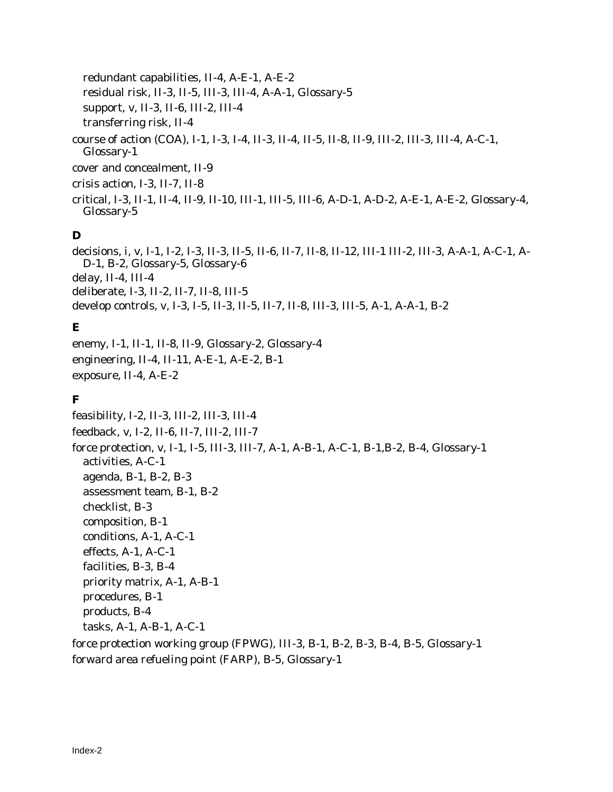redundant capabilities, II-4, A-E-1, A-E-2 residual risk, II-3, II-5, III-3, III-4, A-A-1, Glossary-5 support, v, II-3, II-6, III-2, III-4 transferring risk, II-4 course of action (COA), I-1, I-3, I-4, II-3, II-4, II-5, II-8, II-9, III-2, III-3, III-4, A-C-1, Glossary-1 cover and concealment, II-9

crisis action, I-3, II-7, II-8

critical, I-3, II-1, II-4, II-9, II-10, III-1, III-5, III-6, A-D-1, A-D-2, A-E-1, A-E-2, Glossary-4, Glossary-5

# **D**

decisions, i, v, I-1, I-2, I-3, II-3, II-5, II-6, II-7, II-8, II-12, III-1 III-2, III-3, A-A-1, A-C-1, A-D-1, B-2, Glossary-5, Glossary-6 delay, II-4, III-4 deliberate, I-3, II-2, II-7, II-8, III-5 develop controls, v, I-3, I-5, II-3, II-5, II-7, II-8, III-3, III-5, A-1, A-A-1, B-2

# **E**

enemy, I-1, II-1, II-8, II-9, Glossary-2, Glossary-4 engineering, II-4, II-11, A-E-1, A-E-2, B-1 exposure, II-4, A-E-2

# **F**

feasibility, I-2, II-3, III-2, III-3, III-4 feedback, v, I-2, II-6, II-7, III-2, III-7 force protection, v, I-1, I-5, III-3, III-7, A-1, A-B-1, A-C-1, B-1,B-2, B-4, Glossary-1 activities, A-C-1 agenda, B-1, B-2, B-3 assessment team, B-1, B-2 checklist, B-3 composition, B-1 conditions, A-1, A-C-1 effects, A-1, A-C-1 facilities, B-3, B-4 priority matrix, A-1, A-B-1 procedures, B-1 products, B-4 tasks, A-1, A-B-1, A-C-1 force protection working group (FPWG), III-3, B-1, B-2, B-3, B-4, B-5, Glossary-1

forward area refueling point (FARP), B-5, Glossary-1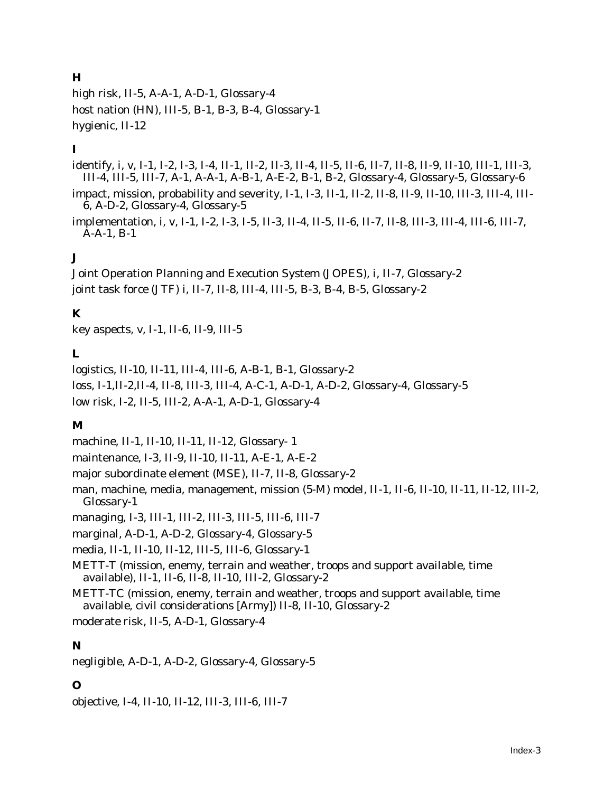# **H**

high risk, II-5, A-A-1, A-D-1, Glossary-4 host nation (HN), III-5, B-1, B-3, B-4, Glossary-1 hygienic, II-12

# **I**

identify, i, v, I-1, I-2, I-3, I-4, II-1, II-2, II-3, II-4, II-5, II-6, II-7, II-8, II-9, II-10, III-1, III-3, III-4, III-5, III-7, A-1, A-A-1, A-B-1, A-E-2, B-1, B-2, Glossary-4, Glossary-5, Glossary-6

impact, mission, probability and severity, I-1, I-3, II-1, II-2, II-8, II-9, II-10, III-3, III-4, III-6, A-D-2, Glossary-4, Glossary-5

implementation, i, v, I-1, I-2, I-3, I-5, II-3, II-4, II-5, II-6, II-7, II-8, III-3, III-4, III-6, III-7, A-A-1, B-1

# **J**

Joint Operation Planning and Execution System (JOPES), i, II-7, Glossary-2 joint task force (JTF) i, II-7, II-8, III-4, III-5, B-3, B-4, B-5, Glossary-2

# **K**

key aspects, v, I-1, II-6, II-9, III-5

# **L**

logistics, II-10, II-11, III-4, III-6, A-B-1, B-1, Glossary-2 loss, I-1,II-2,II-4, II-8, III-3, III-4, A-C-1, A-D-1, A-D-2, Glossary-4, Glossary-5 low risk, I-2, II-5, III-2, A-A-1, A-D-1, Glossary-4

# **M**

machine, II-1, II-10, II-11, II-12, Glossary- 1

maintenance, I-3, II-9, II-10, II-11, A-E-1, A-E-2

major subordinate element (MSE), II-7, II-8, Glossary-2

man, machine, media, management, mission (5-M) model, II-1, II-6, II-10, II-11, II-12, III-2, Glossary-1

managing, I-3, III-1, III-2, III-3, III-5, III-6, III-7

marginal, A-D-1, A-D-2, Glossary-4, Glossary-5

media, II-1, II-10, II-12, III-5, III-6, Glossary-1

METT-T (mission, enemy, terrain and weather, troops and support available, time available), II-1, II-6, II-8, II-10, III-2, Glossary-2

METT-TC (mission, enemy, terrain and weather, troops and support available, time available, civil considerations [Army]) II-8, II-10, Glossary-2

moderate risk, II-5, A-D-1, Glossary-4

# **N**

negligible, A-D-1, A-D-2, Glossary-4, Glossary-5

# **O**

objective, I-4, II-10, II-12, III-3, III-6, III-7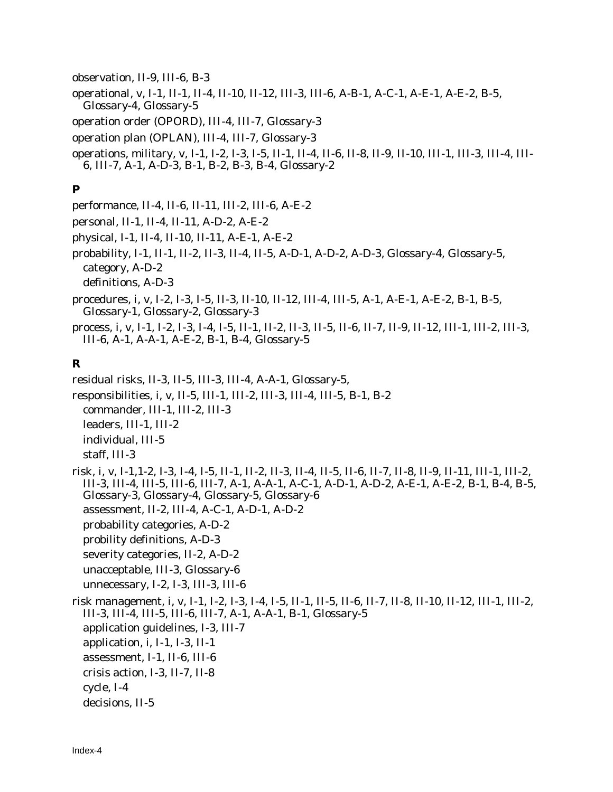observation, II-9, III-6, B-3

operational, v, I-1, II-1, II-4, II-10, II-12, III-3, III-6, A-B-1, A-C-1, A-E-1, A-E-2, B-5, Glossary-4, Glossary-5

operation order (OPORD), III-4, III-7, Glossary-3

operation plan (OPLAN), III-4, III-7, Glossary-3

operations, military, v, I-1, I-2, I-3, I-5, II-1, II-4, II-6, II-8, II-9, II-10, III-1, III-3, III-4, III-6, III-7, A-1, A-D-3, B-1, B-2, B-3, B-4, Glossary-2

#### **P**

performance, II-4, II-6, II-11, III-2, III-6, A-E-2

personal, II-1, II-4, II-11, A-D-2, A-E-2

physical, I-1, II-4, II-10, II-11, A-E-1, A-E-2

probability, I-1, II-1, II-2, II-3, II-4, II-5, A-D-1, A-D-2, A-D-3, Glossary-4, Glossary-5, category, A-D-2

definitions, A-D-3

procedures, i, v, I-2, I-3, I-5, II-3, II-10, II-12, III-4, III-5, A-1, A-E-1, A-E-2, B-1, B-5, Glossary-1, Glossary-2, Glossary-3

process, i, v, I-1, I-2, I-3, I-4, I-5, II-1, II-2, II-3, II-5, II-6, II-7, II-9, II-12, III-1, III-2, III-3, III-6, A-1, A-A-1, A-E-2, B-1, B-4, Glossary-5

#### **R**

residual risks, II-3, II-5, III-3, III-4, A-A-1, Glossary-5, responsibilities, i, v, II-5, III-1, III-2, III-3, III-4, III-5, B-1, B-2 commander, III-1, III-2, III-3 leaders, III-1, III-2 individual, III-5 staff, III-3

risk, i, v, I-1,1-2, I-3, I-4, I-5, II-1, II-2, II-3, II-4, II-5, II-6, II-7, II-8, II-9, II-11, III-1, III-2, III-3, III-4, III-5, III-6, III-7, A-1, A-A-1, A-C-1, A-D-1, A-D-2, A-E-1, A-E-2, B-1, B-4, B-5, Glossary-3, Glossary-4, Glossary-5, Glossary-6 assessment, II-2, III-4, A-C-1, A-D-1, A-D-2 probability categories, A-D-2 probility definitions, A-D-3 severity categories, II-2, A-D-2 unacceptable, III-3, Glossary-6 unnecessary, I-2, I-3, III-3, III-6

risk management, i, v, I-1, I-2, I-3, I-4, I-5, II-1, II-5, II-6, II-7, II-8, II-10, II-12, III-1, III-2, III-3, III-4, III-5, III-6, III-7, A-1, A-A-1, B-1, Glossary-5 application guidelines, I-3, III-7 application, i, I-1, I-3, II-1 assessment, I-1, II-6, III-6 crisis action, I-3, II-7, II-8 cycle, I-4 decisions, II-5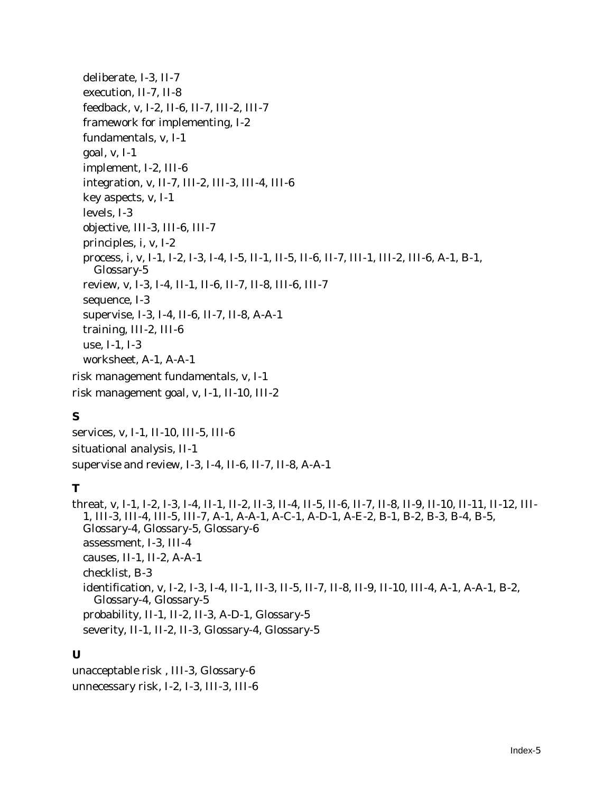deliberate, I-3, II-7 execution, II-7, II-8 feedback, v, I-2, II-6, II-7, III-2, III-7 framework for implementing, I-2 fundamentals, v, I-1 goal, v, I-1 implement, I-2, III-6 integration, v, II-7, III-2, III-3, III-4, III-6 key aspects, v, I-1 levels, I-3 objective, III-3, III-6, III-7 principles, i, v, I-2 process, i, v, I-1, I-2, I-3, I-4, I-5, II-1, II-5, II-6, II-7, III-1, III-2, III-6, A-1, B-1, Glossary-5 review, v, I-3, I-4, II-1, II-6, II-7, II-8, III-6, III-7 sequence, I-3 supervise, I-3, I-4, II-6, II-7, II-8, A-A-1 training, III-2, III-6 use, I-1, I-3 worksheet, A-1, A-A-1 risk management fundamentals, v, I-1 risk management goal, v, I-1, II-10, III-2

# **S**

services, v, I-1, II-10, III-5, III-6 situational analysis, II-1 supervise and review, I-3, I-4, II-6, II-7, II-8, A-A-1

# **T**

threat, v, I-1, I-2, I-3, I-4, II-1, II-2, II-3, II-4, II-5, II-6, II-7, II-8, II-9, II-10, II-11, II-12, III-1, III-3, III-4, III-5, III-7, A-1, A-A-1, A-C-1, A-D-1, A-E-2, B-1, B-2, B-3, B-4, B-5, Glossary-4, Glossary-5, Glossary-6 assessment, I-3, III-4 causes, II-1, II-2, A-A-1 checklist, B-3 identification, v, I-2, I-3, I-4, II-1, II-3, II-5, II-7, II-8, II-9, II-10, III-4, A-1, A-A-1, B-2, Glossary-4, Glossary-5 probability, II-1, II-2, II-3, A-D-1, Glossary-5 severity, II-1, II-2, II-3, Glossary-4, Glossary-5

# **U**

unacceptable risk , III-3, Glossary-6 unnecessary risk, I-2, I-3, III-3, III-6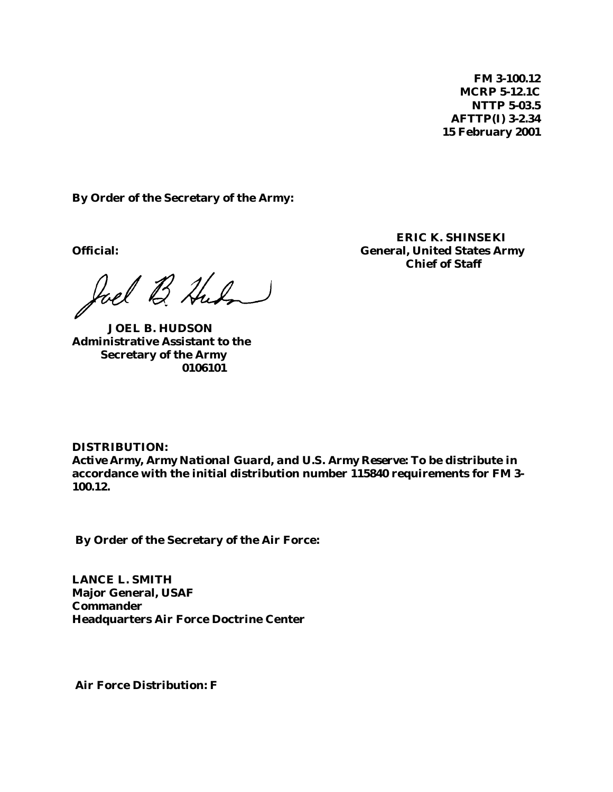**FM 3-100.12 MCRP 5-12.1C NTTP 5-03.5 AFTTP(I) 3-2.34 15 February 2001**

**By Order of the Secretary of the Army:**

Joel B. Hudon

**JOEL B. HUDSON Administrative Assistant to the Secretary of the Army 0106101**

**ERIC K. SHINSEKI Official: General, United States Army Chief of Staff**

**DISTRIBUTION:** *Active Army, Army National Guard, and U.S. Army Reserve:* **To be distribute in accordance with the initial distribution number 115840 requirements for FM 3- 100.12.**

 **By Order of the Secretary of the Air Force:**

**LANCE L. SMITH Major General, USAF Commander Headquarters Air Force Doctrine Center**

 **Air Force Distribution: F**